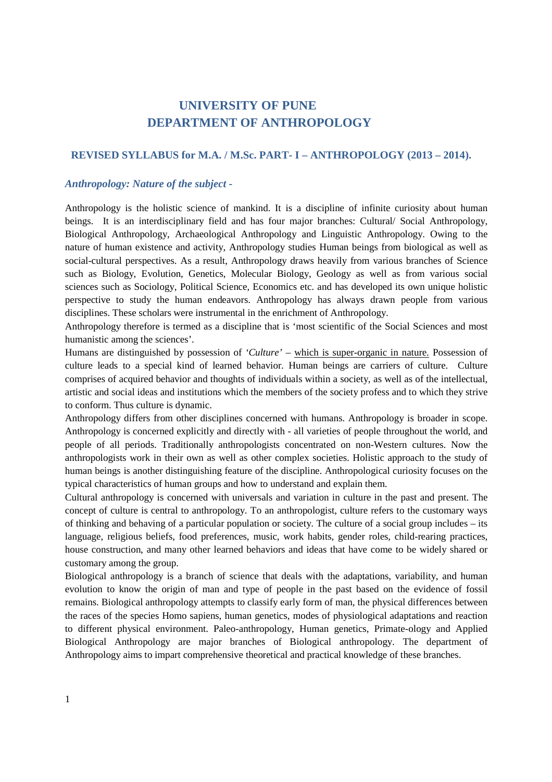# **UNIVERSITY OF PUNE DEPARTMENT OF ANTHROPOLOGY**

# **REVISED SYLLABUS for M.A. / M.Sc. PART- I – ANTHROPOLOGY (2013 – 2014).**

# *Anthropology: Nature of the subject -*

Anthropology is the holistic science of mankind. It is a discipline of infinite curiosity about human beings. It is an interdisciplinary field and has four major branches: Cultural/ Social Anthropology, Biological Anthropology, Archaeological Anthropology and Linguistic Anthropology. Owing to the nature of human existence and activity, Anthropology studies Human beings from biological as well as social-cultural perspectives. As a result, Anthropology draws heavily from various branches of Science such as Biology, Evolution, Genetics, Molecular Biology, Geology as well as from various social sciences such as Sociology, Political Science, Economics etc. and has developed its own unique holistic perspective to study the human endeavors. Anthropology has always drawn people from various disciplines. These scholars were instrumental in the enrichment of Anthropology.

Anthropology therefore is termed as a discipline that is 'most scientific of the Social Sciences and most humanistic among the sciences'.

Humans are distinguished by possession of *'Culture'* – which is super-organic in nature. Possession of culture leads to a special kind of learned behavior. Human beings are carriers of culture. Culture comprises of acquired behavior and thoughts of individuals within a society, as well as of the intellectual, artistic and social ideas and institutions which the members of the society profess and to which they strive to conform. Thus culture is dynamic.

Anthropology differs from other disciplines concerned with humans. Anthropology is broader in scope. Anthropology is concerned explicitly and directly with - all varieties of people throughout the world, and people of all periods. Traditionally anthropologists concentrated on non-Western cultures. Now the anthropologists work in their own as well as other complex societies. Holistic approach to the study of human beings is another distinguishing feature of the discipline. Anthropological curiosity focuses on the typical characteristics of human groups and how to understand and explain them.

Cultural anthropology is concerned with universals and variation in culture in the past and present. The concept of culture is central to anthropology. To an anthropologist, culture refers to the customary ways of thinking and behaving of a particular population or society. The culture of a social group includes – its language, religious beliefs, food preferences, music, work habits, gender roles, child-rearing practices, house construction, and many other learned behaviors and ideas that have come to be widely shared or customary among the group.

Biological anthropology is a branch of science that deals with the adaptations, variability, and human evolution to know the origin of man and type of people in the past based on the evidence of fossil remains. Biological anthropology attempts to classify early form of man, the physical differences between the races of the species Homo sapiens, human genetics, modes of physiological adaptations and reaction to different physical environment. Paleo-anthropology, Human genetics, Primate-ology and Applied Biological Anthropology are major branches of Biological anthropology. The department of Anthropology aims to impart comprehensive theoretical and practical knowledge of these branches.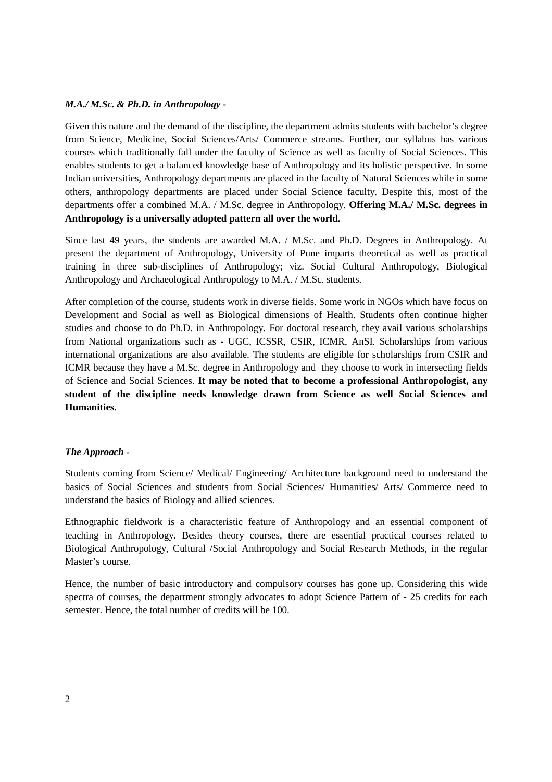#### *M.A./ M.Sc. & Ph.D. in Anthropology -*

Given this nature and the demand of the discipline, the department admits students with bachelor's degree from Science, Medicine, Social Sciences/Arts/ Commerce streams. Further, our syllabus has various courses which traditionally fall under the faculty of Science as well as faculty of Social Sciences. This enables students to get a balanced knowledge base of Anthropology and its holistic perspective. In some Indian universities, Anthropology departments are placed in the faculty of Natural Sciences while in some others, anthropology departments are placed under Social Science faculty. Despite this, most of the departments offer a combined M.A. / M.Sc. degree in Anthropology. **Offering M.A./ M.Sc. degrees in Anthropology is a universally adopted pattern all over the world.**

Since last 49 years, the students are awarded M.A. / M.Sc. and Ph.D. Degrees in Anthropology. At present the department of Anthropology, University of Pune imparts theoretical as well as practical training in three sub-disciplines of Anthropology; viz. Social Cultural Anthropology, Biological Anthropology and Archaeological Anthropology to M.A. / M.Sc. students.

After completion of the course, students work in diverse fields. Some work in NGOs which have focus on Development and Social as well as Biological dimensions of Health. Students often continue higher studies and choose to do Ph.D. in Anthropology. For doctoral research, they avail various scholarships from National organizations such as - UGC, ICSSR, CSIR, ICMR, AnSI. Scholarships from various international organizations are also available. The students are eligible for scholarships from CSIR and ICMR because they have a M.Sc. degree in Anthropology and they choose to work in intersecting fields of Science and Social Sciences. **It may be noted that to become a professional Anthropologist, any student of the discipline needs knowledge drawn from Science as well Social Sciences and Humanities.** 

#### *The Approach -*

Students coming from Science/ Medical/ Engineering/ Architecture background need to understand the basics of Social Sciences and students from Social Sciences/ Humanities/ Arts/ Commerce need to understand the basics of Biology and allied sciences.

Ethnographic fieldwork is a characteristic feature of Anthropology and an essential component of teaching in Anthropology. Besides theory courses, there are essential practical courses related to Biological Anthropology, Cultural /Social Anthropology and Social Research Methods, in the regular Master's course.

Hence, the number of basic introductory and compulsory courses has gone up. Considering this wide spectra of courses, the department strongly advocates to adopt Science Pattern of - 25 credits for each semester. Hence, the total number of credits will be 100.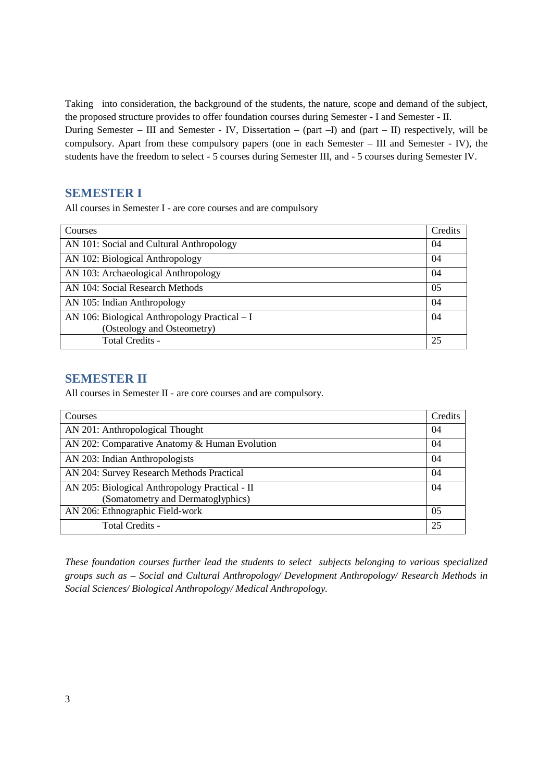Taking into consideration, the background of the students, the nature, scope and demand of the subject, the proposed structure provides to offer foundation courses during Semester - I and Semester - II. During Semester – III and Semester - IV, Dissertation – (part –I) and (part – II) respectively, will be compulsory. Apart from these compulsory papers (one in each Semester – III and Semester - IV), the students have the freedom to select - 5 courses during Semester III, and - 5 courses during Semester IV.

# **SEMESTER I**

All courses in Semester I - are core courses and are compulsory

| Courses                                       | Credits |
|-----------------------------------------------|---------|
| AN 101: Social and Cultural Anthropology      | 04      |
| AN 102: Biological Anthropology               | 04      |
| AN 103: Archaeological Anthropology           | 04      |
| AN 104: Social Research Methods               | 05      |
| AN 105: Indian Anthropology                   | 04      |
| AN 106: Biological Anthropology Practical – I | 04      |
| (Osteology and Osteometry)                    |         |
| Total Credits -                               | 25      |

# **SEMESTER II**

All courses in Semester II - are core courses and are compulsory.

| Courses                                        | Credits        |
|------------------------------------------------|----------------|
| AN 201: Anthropological Thought                | 04             |
| AN 202: Comparative Anatomy & Human Evolution  | 04             |
| AN 203: Indian Anthropologists                 | 04             |
| AN 204: Survey Research Methods Practical      | 04             |
| AN 205: Biological Anthropology Practical - II | 04             |
| (Somatometry and Dermatoglyphics)              |                |
| AN 206: Ethnographic Field-work                | 0 <sub>5</sub> |
| Total Credits -                                | 25             |

*These foundation courses further lead the students to select subjects belonging to various specialized groups such as – Social and Cultural Anthropology/ Development Anthropology/ Research Methods in Social Sciences/ Biological Anthropology/ Medical Anthropology.*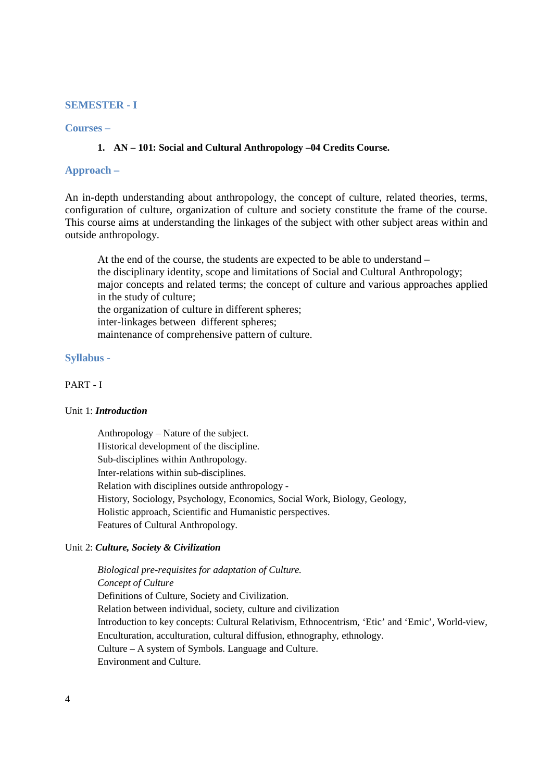## **SEMESTER - I**

# **Courses –**

# **1. AN – 101: Social and Cultural Anthropology –04 Credits Course.**

# **Approach –**

An in-depth understanding about anthropology, the concept of culture, related theories, terms, configuration of culture, organization of culture and society constitute the frame of the course. This course aims at understanding the linkages of the subject with other subject areas within and outside anthropology.

 At the end of the course, the students are expected to be able to understand – the disciplinary identity, scope and limitations of Social and Cultural Anthropology; major concepts and related terms; the concept of culture and various approaches applied in the study of culture; the organization of culture in different spheres; inter-linkages between different spheres; maintenance of comprehensive pattern of culture.

#### **Syllabus -**

#### PART - I

### Unit 1: *Introduction*

Anthropology – Nature of the subject. Historical development of the discipline. Sub-disciplines within Anthropology. Inter-relations within sub-disciplines. Relation with disciplines outside anthropology - History, Sociology, Psychology, Economics, Social Work, Biology, Geology, Holistic approach, Scientific and Humanistic perspectives. Features of Cultural Anthropology.

#### Unit 2: *Culture, Society & Civilization*

*Biological pre-requisites for adaptation of Culture. Concept of Culture*  Definitions of Culture, Society and Civilization. Relation between individual, society, culture and civilization Introduction to key concepts: Cultural Relativism, Ethnocentrism, 'Etic' and 'Emic', World-view, Enculturation, acculturation, cultural diffusion, ethnography, ethnology. Culture – A system of Symbols. Language and Culture. Environment and Culture.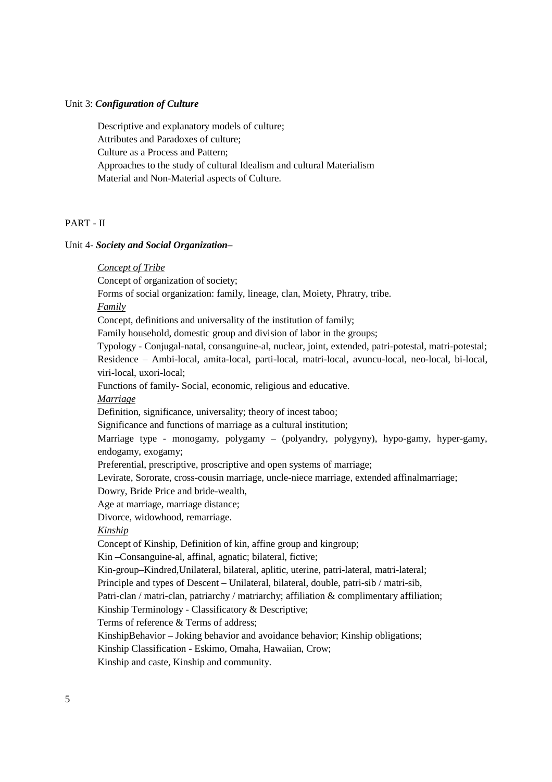#### Unit 3: *Configuration of Culture*

Descriptive and explanatory models of culture; Attributes and Paradoxes of culture; Culture as a Process and Pattern; Approaches to the study of cultural Idealism and cultural Materialism Material and Non-Material aspects of Culture.

# PART - II

#### Unit 4- *Society and Social Organization–*

*Concept of Tribe*

Concept of organization of society;

Forms of social organization: family, lineage, clan, Moiety, Phratry, tribe.

*Family*

Concept, definitions and universality of the institution of family;

Family household, domestic group and division of labor in the groups;

Typology - Conjugal-natal, consanguine-al, nuclear, joint, extended, patri-potestal, matri-potestal; Residence – Ambi-local, amita-local, parti-local, matri-local, avuncu-local, neo-local, bi-local, viri-local, uxori-local;

Functions of family- Social, economic, religious and educative.

#### *Marriage*

Definition, significance, universality; theory of incest taboo;

Significance and functions of marriage as a cultural institution;

Marriage type - monogamy, polygamy – (polyandry, polygyny), hypo-gamy, hyper-gamy, endogamy, exogamy;

Preferential, prescriptive, proscriptive and open systems of marriage;

Levirate, Sororate, cross-cousin marriage, uncle-niece marriage, extended affinalmarriage;

Dowry, Bride Price and bride-wealth,

Age at marriage, marriage distance;

Divorce, widowhood, remarriage.

# *Kinship*

Concept of Kinship, Definition of kin, affine group and kingroup;

Kin –Consanguine-al, affinal, agnatic; bilateral, fictive;

Kin-group–Kindred,Unilateral, bilateral, aplitic, uterine, patri-lateral, matri-lateral;

Principle and types of Descent – Unilateral, bilateral, double, patri-sib / matri-sib,

Patri-clan / matri-clan, patriarchy / matriarchy; affiliation & complimentary affiliation;

Kinship Terminology - Classificatory & Descriptive;

Terms of reference & Terms of address;

KinshipBehavior – Joking behavior and avoidance behavior; Kinship obligations;

Kinship Classification - Eskimo, Omaha, Hawaiian, Crow;

Kinship and caste, Kinship and community.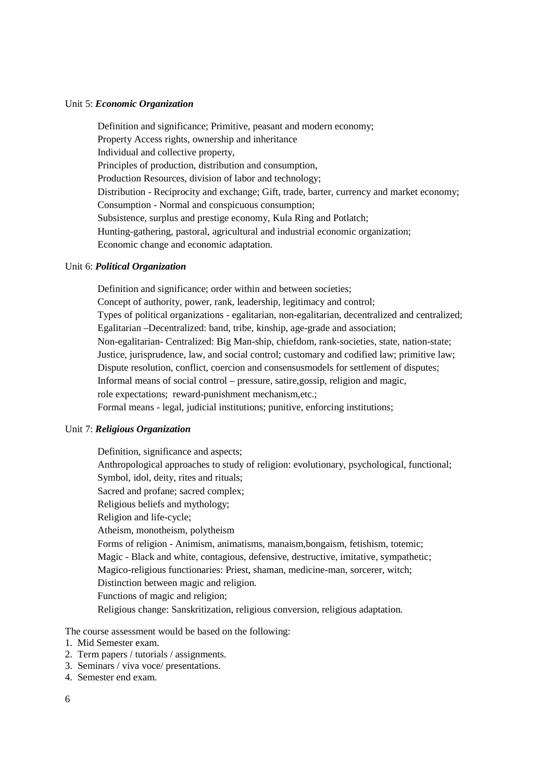#### Unit 5: *Economic Organization*

Definition and significance; Primitive, peasant and modern economy; Property Access rights, ownership and inheritance Individual and collective property, Principles of production, distribution and consumption, Production Resources, division of labor and technology; Distribution - Reciprocity and exchange; Gift, trade, barter, currency and market economy; Consumption - Normal and conspicuous consumption; Subsistence, surplus and prestige economy, Kula Ring and Potlatch; Hunting-gathering, pastoral, agricultural and industrial economic organization; Economic change and economic adaptation.

#### Unit 6: *Political Organization*

Definition and significance; order within and between societies; Concept of authority, power, rank, leadership, legitimacy and control; Types of political organizations - egalitarian, non-egalitarian, decentralized and centralized; Egalitarian –Decentralized: band, tribe, kinship, age-grade and association; Non-egalitarian- Centralized: Big Man-ship, chiefdom, rank-societies, state, nation-state; Justice, jurisprudence, law, and social control; customary and codified law; primitive law; Dispute resolution, conflict, coercion and consensusmodels for settlement of disputes; Informal means of social control – pressure, satire,gossip, religion and magic, role expectations; reward-punishment mechanism,etc.; Formal means - legal, judicial institutions; punitive, enforcing institutions;

### Unit 7: *Religious Organization*

Definition, significance and aspects; Anthropological approaches to study of religion: evolutionary, psychological, functional; Symbol, idol, deity, rites and rituals; Sacred and profane; sacred complex; Religious beliefs and mythology; Religion and life-cycle; Atheism, monotheism, polytheism Forms of religion - Animism, animatisms, manaism,bongaism, fetishism, totemic; Magic - Black and white, contagious, defensive, destructive, imitative, sympathetic; Magico-religious functionaries: Priest, shaman, medicine-man, sorcerer, witch; Distinction between magic and religion. Functions of magic and religion; Religious change: Sanskritization, religious conversion, religious adaptation.

The course assessment would be based on the following:

- 1. Mid Semester exam.
- 2. Term papers / tutorials / assignments.
- 3. Seminars / viva voce/ presentations.
- 4. Semester end exam.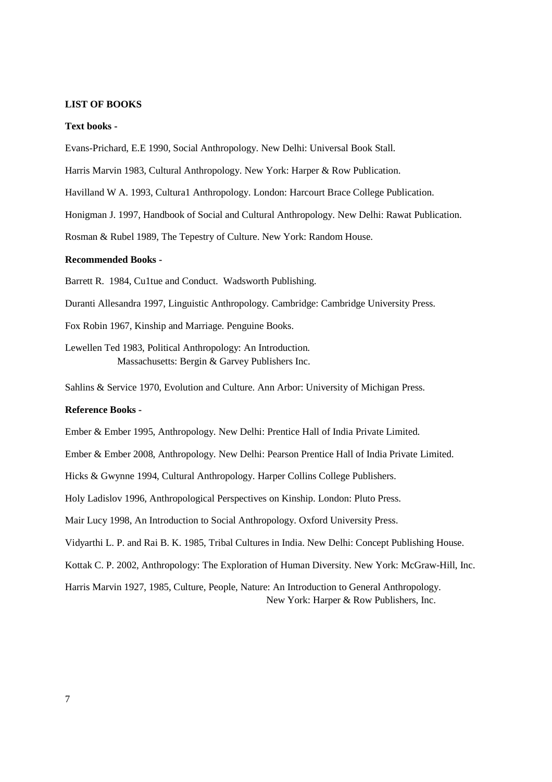#### **LIST OF BOOKS**

#### **Text books -**

Evans-Prichard, E.E 1990, Social Anthropology. New Delhi: Universal Book Stall.

Harris Marvin 1983, Cultural Anthropology. New York: Harper & Row Publication.

Havilland W A. 1993, Cultura1 Anthropology. London: Harcourt Brace College Publication.

Honigman J. 1997, Handbook of Social and Cultural Anthropology. New Delhi: Rawat Publication.

Rosman & Rubel 1989, The Tepestry of Culture. New York: Random House.

# **Recommended Books -**

Barrett R. 1984, Cu1tue and Conduct. Wadsworth Publishing.

Duranti Allesandra 1997, Linguistic Anthropology. Cambridge: Cambridge University Press.

Fox Robin 1967, Kinship and Marriage. Penguine Books.

Lewellen Ted 1983, Political Anthropology: An Introduction. Massachusetts: Bergin & Garvey Publishers Inc.

Sahlins & Service 1970, Evolution and Culture. Ann Arbor: University of Michigan Press.

### **Reference Books -**

Ember & Ember 1995, Anthropology. New Delhi: Prentice Hall of India Private Limited.

Ember & Ember 2008, Anthropology. New Delhi: Pearson Prentice Hall of India Private Limited.

Hicks & Gwynne 1994, Cultural Anthropology. Harper Collins College Publishers.

Holy Ladislov 1996, Anthropological Perspectives on Kinship. London: Pluto Press.

Mair Lucy 1998, An Introduction to Social Anthropology. Oxford University Press.

Vidyarthi L. P. and Rai B. K. 1985, Tribal Cultures in India. New Delhi: Concept Publishing House.

Kottak C. P. 2002, Anthropology: The Exploration of Human Diversity. New York: McGraw-Hill, Inc.

Harris Marvin 1927, 1985, Culture, People, Nature: An Introduction to General Anthropology. New York: Harper & Row Publishers, Inc.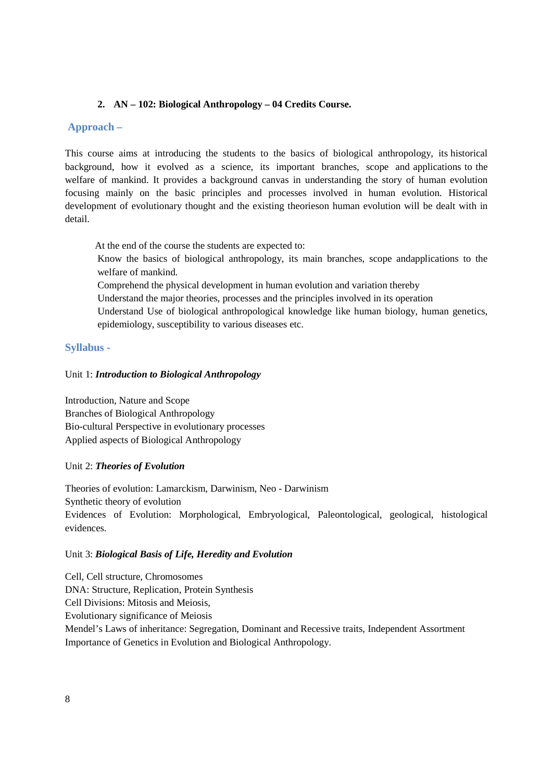# **2. AN – 102: Biological Anthropology – 04 Credits Course.**

# **Approach –**

This course aims at introducing the students to the basics of biological anthropology, its historical background, how it evolved as a science, its important branches, scope and applications to the welfare of mankind. It provides a background canvas in understanding the story of human evolution focusing mainly on the basic principles and processes involved in human evolution. Historical development of evolutionary thought and the existing theorieson human evolution will be dealt with in detail.

At the end of the course the students are expected to:

Know the basics of biological anthropology, its main branches, scope andapplications to the welfare of mankind.

Comprehend the physical development in human evolution and variation thereby

- Understand the major theories, processes and the principles involved in its operation
- Understand Use of biological anthropological knowledge like human biology, human genetics, epidemiology, susceptibility to various diseases etc.

# **Syllabus -**

# Unit 1: *Introduction to Biological Anthropology*

Introduction, Nature and Scope Branches of Biological Anthropology Bio-cultural Perspective in evolutionary processes Applied aspects of Biological Anthropology

# Unit 2: *Theories of Evolution*

Theories of evolution: Lamarckism, Darwinism, Neo - Darwinism Synthetic theory of evolution Evidences of Evolution: Morphological, Embryological, Paleontological, geological, histological evidences.

# Unit 3: *Biological Basis of Life, Heredity and Evolution*

Cell, Cell structure, Chromosomes DNA: Structure, Replication, Protein Synthesis Cell Divisions: Mitosis and Meiosis, Evolutionary significance of Meiosis Mendel's Laws of inheritance: Segregation, Dominant and Recessive traits, Independent Assortment Importance of Genetics in Evolution and Biological Anthropology.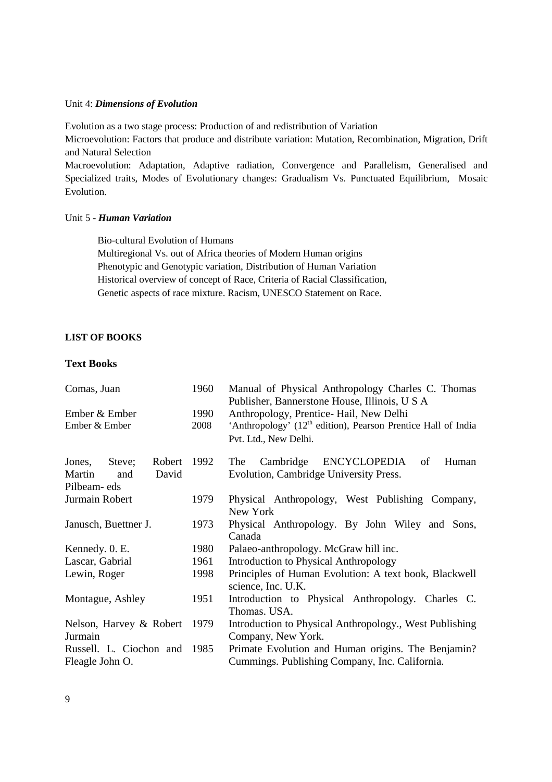#### Unit 4: *Dimensions of Evolution*

Evolution as a two stage process: Production of and redistribution of Variation

Microevolution: Factors that produce and distribute variation: Mutation, Recombination, Migration, Drift and Natural Selection

Macroevolution: Adaptation, Adaptive radiation, Convergence and Parallelism, Generalised and Specialized traits, Modes of Evolutionary changes: Gradualism Vs. Punctuated Equilibrium, Mosaic Evolution.

# Unit 5 - *Human Variation*

Bio-cultural Evolution of Humans Multiregional Vs. out of Africa theories of Modern Human origins Phenotypic and Genotypic variation, Distribution of Human Variation Historical overview of concept of Race, Criteria of Racial Classification, Genetic aspects of race mixture. Racism, UNESCO Statement on Race.

# **LIST OF BOOKS**

# **Text Books**

| Comas, Juan                                     | 1960 | Manual of Physical Anthropology Charles C. Thomas<br>Publisher, Bannerstone House, Illinois, U S A   |
|-------------------------------------------------|------|------------------------------------------------------------------------------------------------------|
| Ember & Ember                                   | 1990 | Anthropology, Prentice-Hail, New Delhi                                                               |
| Ember & Ember                                   | 2008 | 'Anthropology' (12 <sup>th</sup> edition), Pearson Prentice Hall of India<br>Pvt. Ltd., New Delhi.   |
| Robert 1992<br>Jones,<br>Steve;                 |      | The Cambridge<br>ENCYCLOPEDIA<br>Human<br>of                                                         |
| David<br>Martin<br>and                          |      | Evolution, Cambridge University Press.                                                               |
| Pilbeam-eds                                     |      |                                                                                                      |
| Jurmain Robert                                  | 1979 | Physical Anthropology, West Publishing Company,<br>New York                                          |
| Janusch, Buettner J.                            | 1973 | Physical Anthropology. By John Wiley and Sons,<br>Canada                                             |
| Kennedy. 0. E.                                  | 1980 | Palaeo-anthropology. McGraw hill inc.                                                                |
| Lascar, Gabrial                                 | 1961 | <b>Introduction to Physical Anthropology</b>                                                         |
| Lewin, Roger                                    | 1998 | Principles of Human Evolution: A text book, Blackwell<br>science, Inc. U.K.                          |
| Montague, Ashley                                | 1951 | Introduction to Physical Anthropology. Charles C.<br>Thomas. USA.                                    |
| Nelson, Harvey & Robert                         | 1979 | Introduction to Physical Anthropology., West Publishing                                              |
| Jurmain                                         |      | Company, New York.                                                                                   |
| Russell. L. Ciochon and 1985<br>Fleagle John O. |      | Primate Evolution and Human origins. The Benjamin?<br>Cummings. Publishing Company, Inc. California. |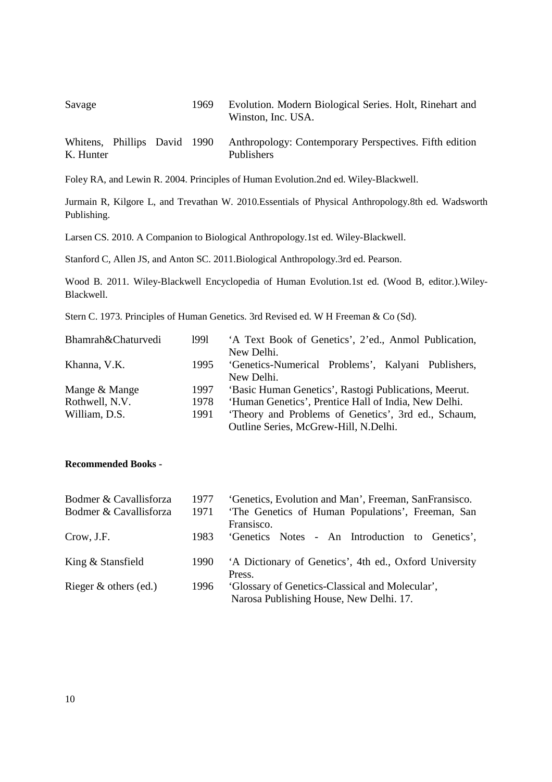| Savage                       |  | 1969 | Evolution. Modern Biological Series. Holt, Rinehart and<br>Winston, Inc. USA. |
|------------------------------|--|------|-------------------------------------------------------------------------------|
| Whitens, Phillips David 1990 |  |      | Anthropology: Contemporary Perspectives. Fifth edition                        |

Foley RA, and Lewin R. 2004. Principles of Human Evolution.2nd ed. Wiley-Blackwell.

Publishers

Jurmain R, Kilgore L, and Trevathan W. 2010.Essentials of Physical Anthropology.8th ed. Wadsworth Publishing.

Larsen CS. 2010. A Companion to Biological Anthropology.1st ed. Wiley-Blackwell.

Stanford C, Allen JS, and Anton SC. 2011.Biological Anthropology.3rd ed. Pearson.

Wood B. 2011. Wiley-Blackwell Encyclopedia of Human Evolution.1st ed. (Wood B, editor.).Wiley-Blackwell.

Stern C. 1973. Principles of Human Genetics. 3rd Revised ed. W H Freeman & Co (Sd).

| Bhamrah&Chaturvedi | 1991 | 'A Text Book of Genetics', 2'ed., Anmol Publication,  |
|--------------------|------|-------------------------------------------------------|
|                    |      | New Delhi.                                            |
| Khanna, V.K.       | 1995 | 'Genetics-Numerical Problems', Kalyani Publishers,    |
|                    |      | New Delhi.                                            |
| Mange & Mange      | 1997 | 'Basic Human Genetics', Rastogi Publications, Meerut. |
| Rothwell, N.V.     | 1978 | 'Human Genetics', Prentice Hall of India, New Delhi.  |
| William, D.S.      | 1991 | 'Theory and Problems of Genetics', 3rd ed., Schaum,   |
|                    |      | Outline Series, McGrew-Hill, N.Delhi.                 |

### **Recommended Books -**

K. Hunter

| Bodmer & Cavallisforza  | 1977 | 'Genetics, Evolution and Man', Freeman, SanFransisco.                                      |
|-------------------------|------|--------------------------------------------------------------------------------------------|
| Bodmer & Cavallisforza  | 1971 | 'The Genetics of Human Populations', Freeman, San<br>Fransisco.                            |
| Crow, J.F.              | 1983 | 'Genetics Notes - An Introduction to Genetics',                                            |
| King & Stansfield       | 1990 | 'A Dictionary of Genetics', 4th ed., Oxford University<br>Press.                           |
| Rieger $&$ others (ed.) | 1996 | 'Glossary of Genetics-Classical and Molecular',<br>Narosa Publishing House, New Delhi. 17. |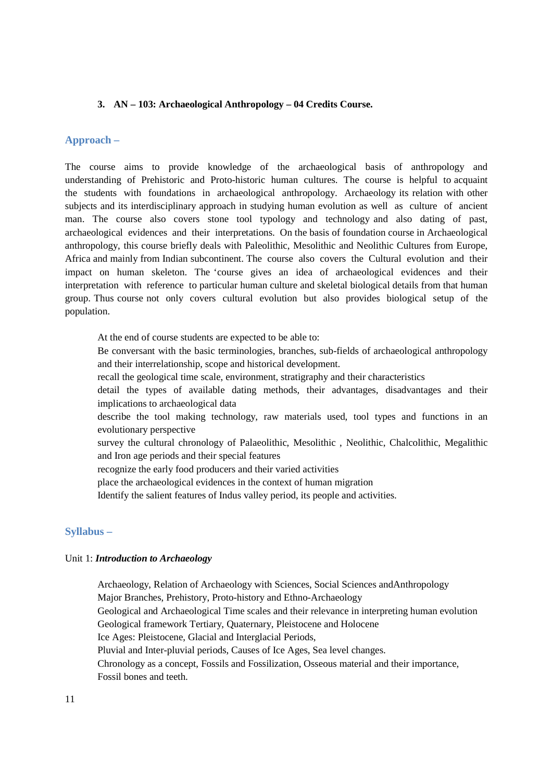### **3. AN – 103: Archaeological Anthropology – 04 Credits Course.**

# **Approach –**

The course aims to provide knowledge of the archaeological basis of anthropology and understanding of Prehistoric and Proto-historic human cultures. The course is helpful to acquaint the students with foundations in archaeological anthropology. Archaeology its relation with other subjects and its interdisciplinary approach in studying human evolution as well as culture of ancient man. The course also covers stone tool typology and technology and also dating of past, archaeological evidences and their interpretations. On the basis of foundation course in Archaeological anthropology, this course briefly deals with Paleolithic, Mesolithic and Neolithic Cultures from Europe, Africa and mainly from Indian subcontinent. The course also covers the Cultural evolution and their impact on human skeleton. The 'course gives an idea of archaeological evidences and their interpretation with reference to particular human culture and skeletal biological details from that human group. Thus course not only covers cultural evolution but also provides biological setup of the population.

At the end of course students are expected to be able to:

- Be conversant with the basic terminologies, branches, sub-fields of archaeological anthropology and their interrelationship, scope and historical development.
- recall the geological time scale, environment, stratigraphy and their characteristics
- detail the types of available dating methods, their advantages, disadvantages and their implications to archaeological data
- describe the tool making technology, raw materials used, tool types and functions in an evolutionary perspective
- survey the cultural chronology of Palaeolithic, Mesolithic , Neolithic, Chalcolithic, Megalithic and Iron age periods and their special features
- recognize the early food producers and their varied activities
- place the archaeological evidences in the context of human migration
- Identify the salient features of Indus valley period, its people and activities.

### **Syllabus –**

#### Unit 1: *Introduction to Archaeology*

Archaeology, Relation of Archaeology with Sciences, Social Sciences andAnthropology Major Branches, Prehistory, Proto-history and Ethno-Archaeology Geological and Archaeological Time scales and their relevance in interpreting human evolution Geological framework Tertiary, Quaternary, Pleistocene and Holocene Ice Ages: Pleistocene, Glacial and Interglacial Periods, Pluvial and Inter-pluvial periods, Causes of Ice Ages, Sea level changes. Chronology as a concept, Fossils and Fossilization, Osseous material and their importance, Fossil bones and teeth.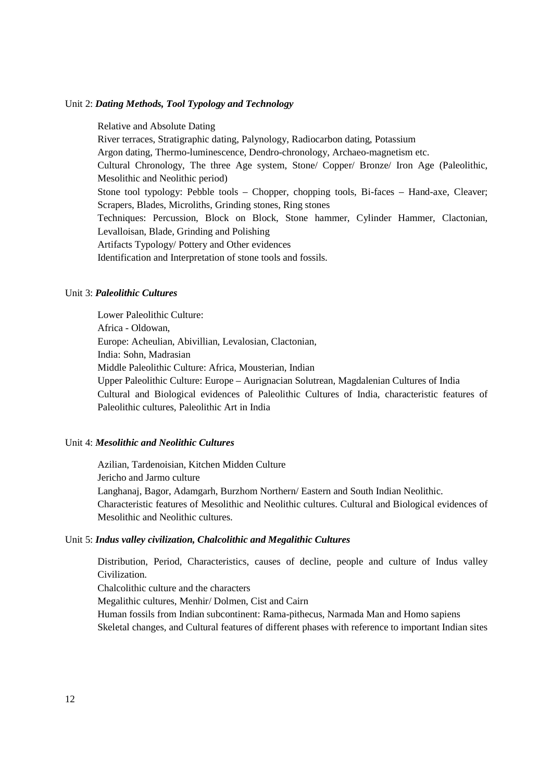#### Unit 2: *Dating Methods, Tool Typology and Technology*

Relative and Absolute Dating River terraces, Stratigraphic dating, Palynology, Radiocarbon dating, Potassium Argon dating, Thermo-luminescence, Dendro-chronology, Archaeo-magnetism etc. Cultural Chronology, The three Age system, Stone/ Copper/ Bronze/ Iron Age (Paleolithic, Mesolithic and Neolithic period) Stone tool typology: Pebble tools – Chopper, chopping tools, Bi-faces – Hand-axe, Cleaver; Scrapers, Blades, Microliths, Grinding stones, Ring stones Techniques: Percussion, Block on Block, Stone hammer, Cylinder Hammer, Clactonian, Levalloisan, Blade, Grinding and Polishing Artifacts Typology/ Pottery and Other evidences Identification and Interpretation of stone tools and fossils.

# Unit 3: *Paleolithic Cultures*

Lower Paleolithic Culture: Africa - Oldowan, Europe: Acheulian, Abivillian, Levalosian, Clactonian, India: Sohn, Madrasian Middle Paleolithic Culture: Africa, Mousterian, Indian Upper Paleolithic Culture: Europe – Aurignacian Solutrean, Magdalenian Cultures of India Cultural and Biological evidences of Paleolithic Cultures of India, characteristic features of Paleolithic cultures, Paleolithic Art in India

# Unit 4: *Mesolithic and Neolithic Cultures*

Azilian, Tardenoisian, Kitchen Midden Culture Jericho and Jarmo culture Langhanaj, Bagor, Adamgarh, Burzhom Northern/ Eastern and South Indian Neolithic. Characteristic features of Mesolithic and Neolithic cultures. Cultural and Biological evidences of Mesolithic and Neolithic cultures.

#### Unit 5: *Indus valley civilization, Chalcolithic and Megalithic Cultures*

Distribution, Period, Characteristics, causes of decline, people and culture of Indus valley Civilization.

Chalcolithic culture and the characters

Megalithic cultures, Menhir/ Dolmen, Cist and Cairn

Human fossils from Indian subcontinent: Rama-pithecus, Narmada Man and Homo sapiens

Skeletal changes, and Cultural features of different phases with reference to important Indian sites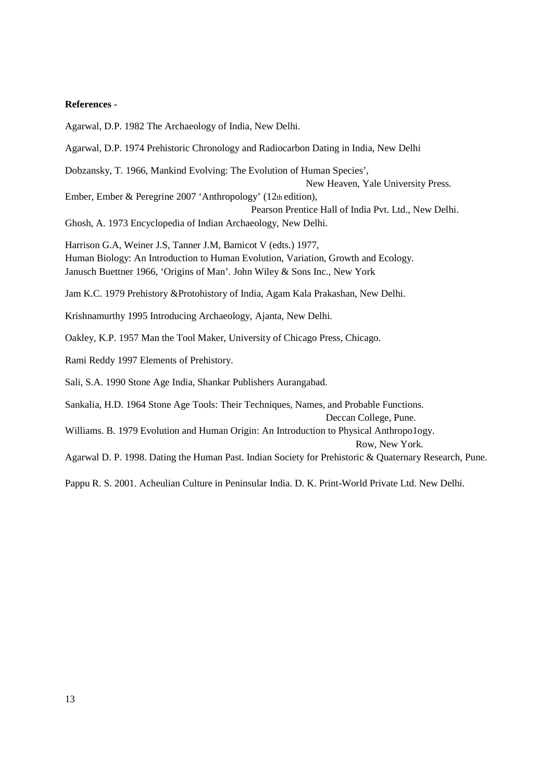#### **References -**

Agarwal, D.P. 1982 The Archaeology of India, New Delhi. Agarwal, D.P. 1974 Prehistoric Chronology and Radiocarbon Dating in India, New Delhi Dobzansky, T. 1966, Mankind Evolving: The Evolution of Human Species', New Heaven, Yale University Press. Ember, Ember & Peregrine 2007 'Anthropology' (12th edition), Pearson Prentice Hall of India Pvt. Ltd., New Delhi. Ghosh, A. 1973 Encyclopedia of Indian Archaeology, New Delhi. Harrison G.A, Weiner J.S, Tanner J.M, Bamicot V (edts.) 1977, Human Biology: An Introduction to Human Evolution, Variation, Growth and Ecology. Janusch Buettner 1966, 'Origins of Man'. John Wiley & Sons Inc., New York Jam K.C. 1979 Prehistory &Protohistory of India, Agam Kala Prakashan, New Delhi. Krishnamurthy 1995 Introducing Archaeology, Ajanta, New Delhi. Oakley, K.P. 1957 Man the Tool Maker, University of Chicago Press, Chicago. Rami Reddy 1997 Elements of Prehistory. Sali, S.A. 1990 Stone Age India, Shankar Publishers Aurangabad. Sankalia, H.D. 1964 Stone Age Tools: Their Techniques, Names, and Probable Functions. Deccan College, Pune. Williams. B. 1979 Evolution and Human Origin: An Introduction to Physical Anthropo1ogy. Row, New York.

Agarwal D. P. 1998. Dating the Human Past. Indian Society for Prehistoric & Quaternary Research, Pune.

Pappu R. S. 2001. Acheulian Culture in Peninsular India. D. K. Print-World Private Ltd. New Delhi.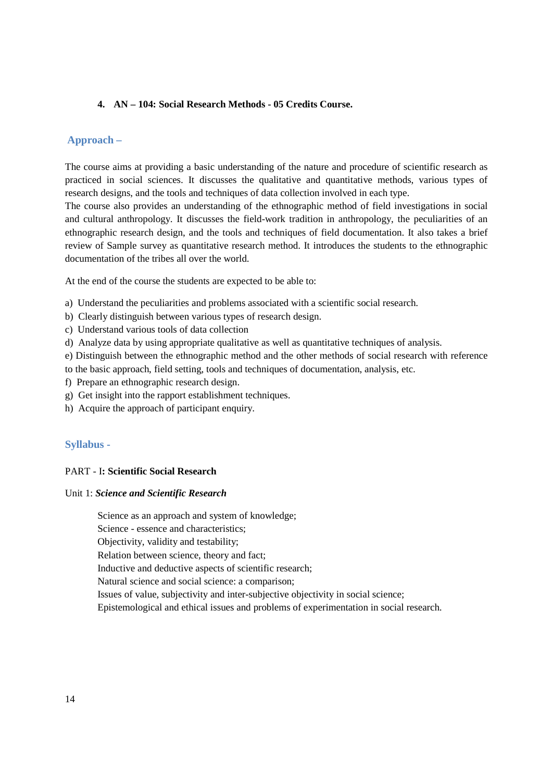# **4. AN – 104: Social Research Methods - 05 Credits Course.**

# **Approach –**

The course aims at providing a basic understanding of the nature and procedure of scientific research as practiced in social sciences. It discusses the qualitative and quantitative methods, various types of research designs, and the tools and techniques of data collection involved in each type.

The course also provides an understanding of the ethnographic method of field investigations in social and cultural anthropology. It discusses the field-work tradition in anthropology, the peculiarities of an ethnographic research design, and the tools and techniques of field documentation. It also takes a brief review of Sample survey as quantitative research method. It introduces the students to the ethnographic documentation of the tribes all over the world.

At the end of the course the students are expected to be able to:

- a) Understand the peculiarities and problems associated with a scientific social research.
- b) Clearly distinguish between various types of research design.
- c) Understand various tools of data collection
- d) Analyze data by using appropriate qualitative as well as quantitative techniques of analysis.
- e) Distinguish between the ethnographic method and the other methods of social research with reference to the basic approach, field setting, tools and techniques of documentation, analysis, etc.
- f) Prepare an ethnographic research design.
- g) Get insight into the rapport establishment techniques.
- h) Acquire the approach of participant enquiry.

# **Syllabus -**

#### PART - I**: Scientific Social Research**

# Unit 1: *Science and Scientific Research*

Science as an approach and system of knowledge; Science - essence and characteristics; Objectivity, validity and testability; Relation between science, theory and fact; Inductive and deductive aspects of scientific research; Natural science and social science: a comparison; Issues of value, subjectivity and inter-subjective objectivity in social science; Epistemological and ethical issues and problems of experimentation in social research.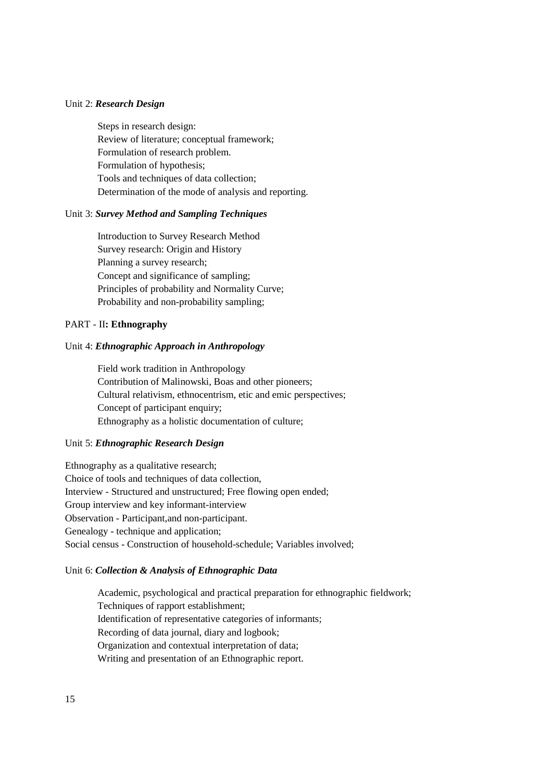#### Unit 2: *Research Design*

Steps in research design: Review of literature; conceptual framework; Formulation of research problem. Formulation of hypothesis; Tools and techniques of data collection; Determination of the mode of analysis and reporting.

### Unit 3: *Survey Method and Sampling Techniques*

Introduction to Survey Research Method Survey research: Origin and History Planning a survey research; Concept and significance of sampling; Principles of probability and Normality Curve; Probability and non-probability sampling;

# PART - II**: Ethnography**

#### Unit 4: *Ethnographic Approach in Anthropology*

Field work tradition in Anthropology Contribution of Malinowski, Boas and other pioneers; Cultural relativism, ethnocentrism, etic and emic perspectives; Concept of participant enquiry; Ethnography as a holistic documentation of culture;

#### Unit 5: *Ethnographic Research Design*

Ethnography as a qualitative research; Choice of tools and techniques of data collection, Interview - Structured and unstructured; Free flowing open ended; Group interview and key informant-interview Observation - Participant,and non-participant. Genealogy - technique and application; Social census - Construction of household-schedule; Variables involved;

#### Unit 6: *Collection & Analysis of Ethnographic Data*

Academic, psychological and practical preparation for ethnographic fieldwork; Techniques of rapport establishment; Identification of representative categories of informants; Recording of data journal, diary and logbook; Organization and contextual interpretation of data; Writing and presentation of an Ethnographic report.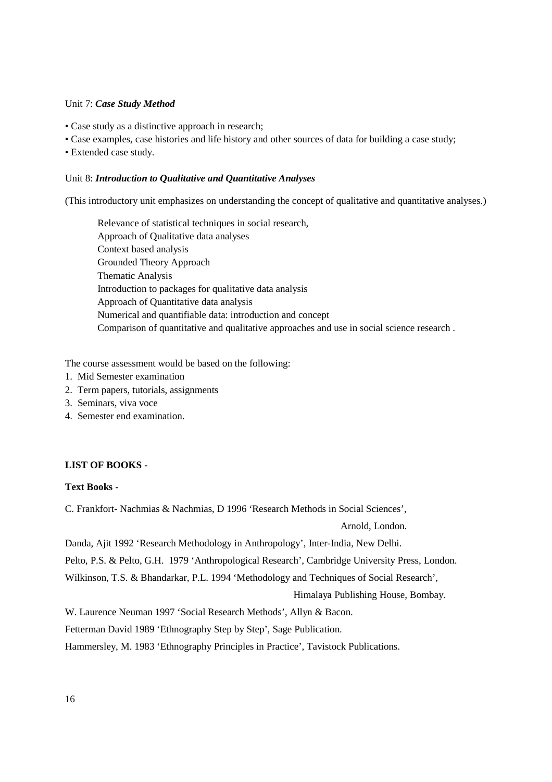### Unit 7: *Case Study Method*

- Case study as a distinctive approach in research;
- Case examples, case histories and life history and other sources of data for building a case study;
- Extended case study.

## Unit 8: *Introduction to Qualitative and Quantitative Analyses*

(This introductory unit emphasizes on understanding the concept of qualitative and quantitative analyses.)

Relevance of statistical techniques in social research, Approach of Qualitative data analyses Context based analysis Grounded Theory Approach Thematic Analysis Introduction to packages for qualitative data analysis Approach of Quantitative data analysis Numerical and quantifiable data: introduction and concept Comparison of quantitative and qualitative approaches and use in social science research .

The course assessment would be based on the following:

- 1. Mid Semester examination
- 2. Term papers, tutorials, assignments
- 3. Seminars, viva voce
- 4. Semester end examination.

# **LIST OF BOOKS -**

### **Text Books -**

C. Frankfort- Nachmias & Nachmias, D 1996 'Research Methods in Social Sciences',

Arnold, London.

Danda, Ajit 1992 'Research Methodology in Anthropology', Inter-India, New Delhi.

Pelto, P.S. & Pelto, G.H. 1979 'Anthropological Research', Cambridge University Press, London.

Wilkinson, T.S. & Bhandarkar, P.L. 1994 'Methodology and Techniques of Social Research',

Himalaya Publishing House, Bombay.

W. Laurence Neuman 1997 'Social Research Methods', Allyn & Bacon.

Fetterman David 1989 'Ethnography Step by Step', Sage Publication.

Hammersley, M. 1983 'Ethnography Principles in Practice', Tavistock Publications.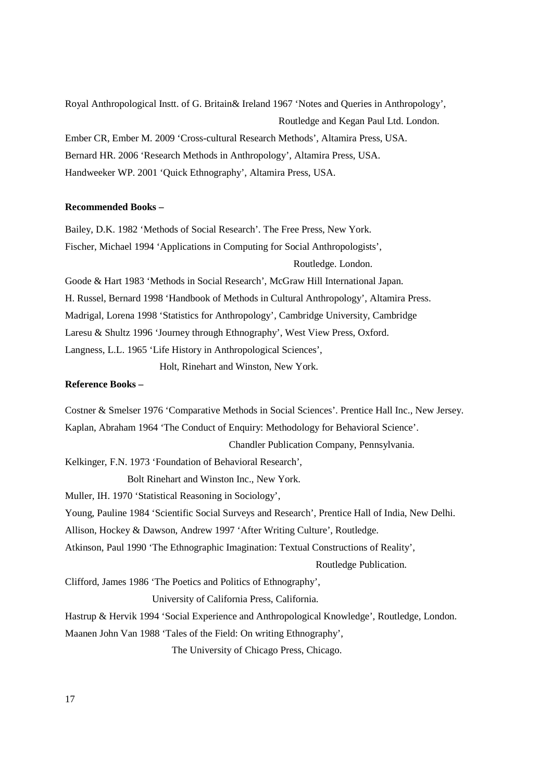Royal Anthropological Instt. of G. Britain& Ireland 1967 'Notes and Queries in Anthropology', Routledge and Kegan Paul Ltd. London. Ember CR, Ember M. 2009 'Cross-cultural Research Methods', Altamira Press, USA. Bernard HR. 2006 'Research Methods in Anthropology', Altamira Press, USA. Handweeker WP. 2001 'Quick Ethnography', Altamira Press, USA.

#### **Recommended Books –**

Bailey, D.K. 1982 'Methods of Social Research'. The Free Press, New York. Fischer, Michael 1994 'Applications in Computing for Social Anthropologists',

Routledge. London.

Goode & Hart 1983 'Methods in Social Research', McGraw Hill International Japan. H. Russel, Bernard 1998 'Handbook of Methods in Cultural Anthropology', Altamira Press. Madrigal, Lorena 1998 'Statistics for Anthropology', Cambridge University, Cambridge Laresu & Shultz 1996 'Journey through Ethnography', West View Press, Oxford. Langness, L.L. 1965 'Life History in Anthropological Sciences',

Holt, Rinehart and Winston, New York.

# **Reference Books –**

Costner & Smelser 1976 'Comparative Methods in Social Sciences'. Prentice Hall Inc., New Jersey. Kaplan, Abraham 1964 'The Conduct of Enquiry: Methodology for Behavioral Science'. Chandler Publication Company, Pennsylvania. Kelkinger, F.N. 1973 'Foundation of Behavioral Research', Bolt Rinehart and Winston Inc., New York. Muller, IH. 1970 'Statistical Reasoning in Sociology', Young, Pauline 1984 'Scientific Social Surveys and Research', Prentice Hall of India, New Delhi. Allison, Hockey & Dawson, Andrew 1997 'After Writing Culture', Routledge. Atkinson, Paul 1990 'The Ethnographic Imagination: Textual Constructions of Reality', Routledge Publication. Clifford, James 1986 'The Poetics and Politics of Ethnography', University of California Press, California. Hastrup & Hervik 1994 'Social Experience and Anthropological Knowledge', Routledge, London. Maanen John Van 1988 'Tales of the Field: On writing Ethnography', The University of Chicago Press, Chicago.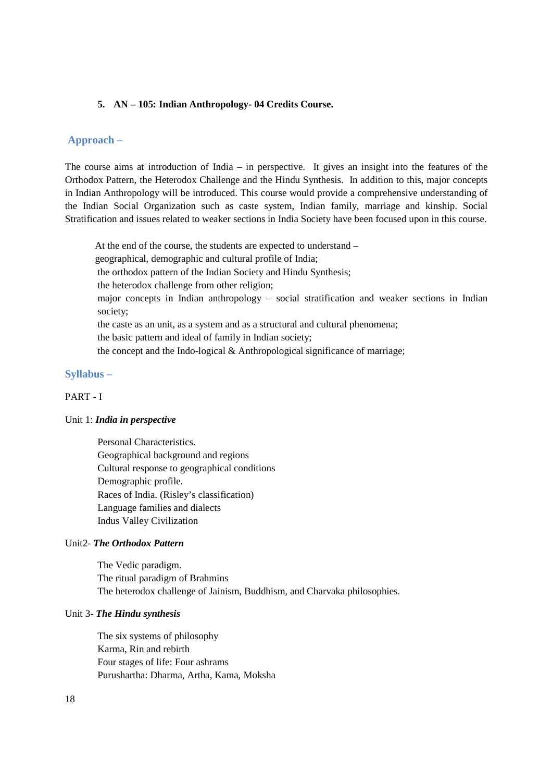### **5. AN – 105: Indian Anthropology- 04 Credits Course.**

# **Approach –**

The course aims at introduction of India – in perspective. It gives an insight into the features of the Orthodox Pattern, the Heterodox Challenge and the Hindu Synthesis. In addition to this, major concepts in Indian Anthropology will be introduced. This course would provide a comprehensive understanding of the Indian Social Organization such as caste system, Indian family, marriage and kinship. Social Stratification and issues related to weaker sections in India Society have been focused upon in this course.

 At the end of the course, the students are expected to understand – geographical, demographic and cultural profile of India; the orthodox pattern of the Indian Society and Hindu Synthesis; the heterodox challenge from other religion; major concepts in Indian anthropology – social stratification and weaker sections in Indian society; the caste as an unit, as a system and as a structural and cultural phenomena; the basic pattern and ideal of family in Indian society; the concept and the Indo-logical & Anthropological significance of marriage;

# **Syllabus –**

### PART - I

#### Unit 1: *India in perspective*

Personal Characteristics. Geographical background and regions Cultural response to geographical conditions Demographic profile. Races of India. (Risley's classification) Language families and dialects Indus Valley Civilization

### Unit2- *The Orthodox Pattern*

The Vedic paradigm. The ritual paradigm of Brahmins The heterodox challenge of Jainism, Buddhism, and Charvaka philosophies.

#### Unit 3- *The Hindu synthesis*

The six systems of philosophy Karma, Rin and rebirth Four stages of life: Four ashrams Purushartha: Dharma, Artha, Kama, Moksha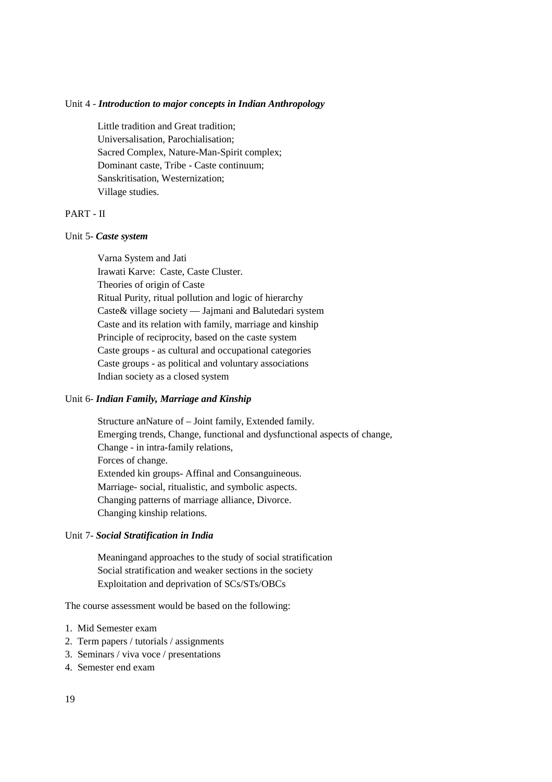#### Unit 4 - *Introduction to major concepts in Indian Anthropology*

Little tradition and Great tradition; Universalisation, Parochialisation; Sacred Complex, Nature-Man-Spirit complex; Dominant caste, Tribe - Caste continuum; Sanskritisation, Westernization; Village studies.

# PART - II

#### Unit 5- *Caste system*

Varna System and Jati Irawati Karve: Caste, Caste Cluster. Theories of origin of Caste Ritual Purity, ritual pollution and logic of hierarchy Caste& village society — Jajmani and Balutedari system Caste and its relation with family, marriage and kinship Principle of reciprocity, based on the caste system Caste groups - as cultural and occupational categories Caste groups - as political and voluntary associations Indian society as a closed system

#### Unit 6- *Indian Family, Marriage and Kinship*

Structure anNature of – Joint family, Extended family. Emerging trends, Change, functional and dysfunctional aspects of change, Change - in intra-family relations, Forces of change. Extended kin groups- Affinal and Consanguineous. Marriage- social, ritualistic, and symbolic aspects. Changing patterns of marriage alliance, Divorce. Changing kinship relations.

### Unit 7- *Social Stratification in India*

Meaningand approaches to the study of social stratification Social stratification and weaker sections in the society Exploitation and deprivation of SCs/STs/OBCs

The course assessment would be based on the following:

- 1. Mid Semester exam
- 2. Term papers / tutorials / assignments
- 3. Seminars / viva voce / presentations
- 4. Semester end exam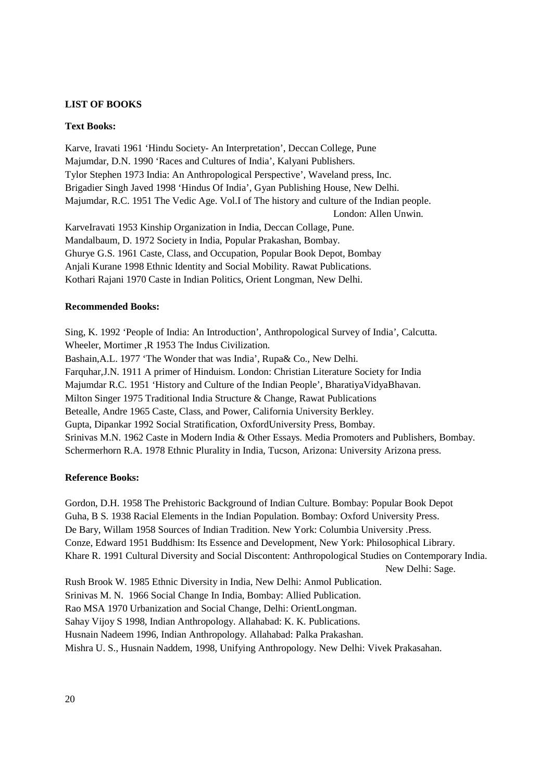# **LIST OF BOOKS**

# **Text Books:**

Karve, Iravati 1961 'Hindu Society- An Interpretation', Deccan College, Pune Majumdar, D.N. 1990 'Races and Cultures of India', Kalyani Publishers. Tylor Stephen 1973 India: An Anthropological Perspective', Waveland press, Inc. Brigadier Singh Javed 1998 'Hindus Of India', Gyan Publishing House, New Delhi. Majumdar, R.C. 1951 The Vedic Age. Vol.I of The history and culture of the Indian people. London: Allen Unwin. KarveIravati 1953 Kinship Organization in India, Deccan Collage, Pune. Mandalbaum, D. 1972 Society in India, Popular Prakashan, Bombay. Ghurye G.S. 1961 Caste, Class, and Occupation, Popular Book Depot, Bombay Anjali Kurane 1998 Ethnic Identity and Social Mobility. Rawat Publications. Kothari Rajani 1970 Caste in Indian Politics, Orient Longman, New Delhi.

### **Recommended Books:**

Sing, K. 1992 'People of India: An Introduction', Anthropological Survey of India', Calcutta. Wheeler, Mortimer ,R 1953 The Indus Civilization. Bashain,A.L. 1977 'The Wonder that was India', Rupa& Co., New Delhi. Farquhar,J.N. 1911 A primer of Hinduism. London: Christian Literature Society for India Majumdar R.C. 1951 'History and Culture of the Indian People', BharatiyaVidyaBhavan. Milton Singer 1975 Traditional India Structure & Change, Rawat Publications Betealle, Andre 1965 Caste, Class, and Power, California University Berkley. Gupta, Dipankar 1992 Social Stratification, OxfordUniversity Press, Bombay. Srinivas M.N. 1962 Caste in Modern India & Other Essays. Media Promoters and Publishers, Bombay. Schermerhorn R.A. 1978 Ethnic Plurality in India, Tucson, Arizona: University Arizona press.

# **Reference Books:**

Gordon, D.H. 1958 The Prehistoric Background of Indian Culture. Bombay: Popular Book Depot Guha, B S. 1938 Racial Elements in the Indian Population. Bombay: Oxford University Press. De Bary, Willam 1958 Sources of Indian Tradition. New York: Columbia University .Press. Conze, Edward 1951 Buddhism: Its Essence and Development, New York: Philosophical Library. Khare R. 1991 Cultural Diversity and Social Discontent: Anthropological Studies on Contemporary India. New Delhi: Sage.

Rush Brook W. 1985 Ethnic Diversity in India, New Delhi: Anmol Publication. Srinivas M. N. 1966 Social Change In India, Bombay: Allied Publication. Rao MSA 1970 Urbanization and Social Change, Delhi: OrientLongman. Sahay Vijoy S 1998, Indian Anthropology. Allahabad: K. K. Publications. Husnain Nadeem 1996, Indian Anthropology. Allahabad: Palka Prakashan. Mishra U. S., Husnain Naddem, 1998, Unifying Anthropology. New Delhi: Vivek Prakasahan.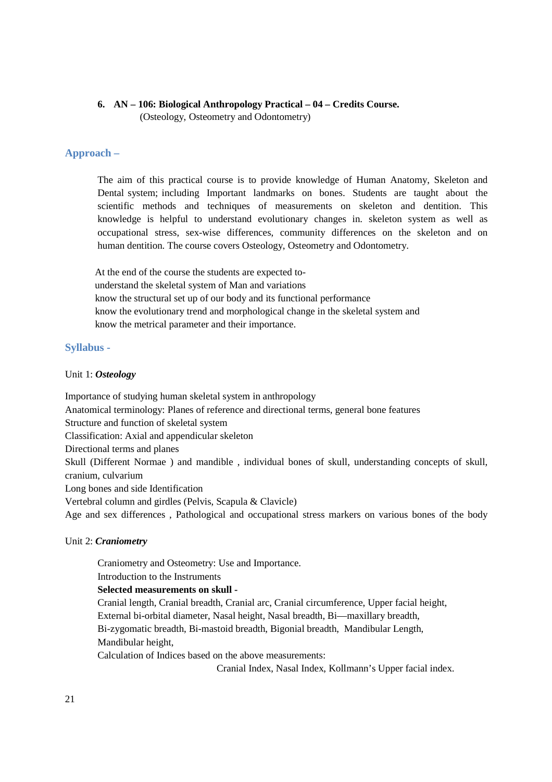# **6. AN – 106: Biological Anthropology Practical – 04 – Credits Course.**

(Osteology, Osteometry and Odontometry)

# **Approach –**

The aim of this practical course is to provide knowledge of Human Anatomy, Skeleton and Dental system; including Important landmarks on bones. Students are taught about the scientific methods and techniques of measurements on skeleton and dentition. This knowledge is helpful to understand evolutionary changes in. skeleton system as well as occupational stress, sex-wise differences, community differences on the skeleton and on human dentition. The course covers Osteology, Osteometry and Odontometry.

 At the end of the course the students are expected to understand the skeletal system of Man and variations know the structural set up of our body and its functional performance know the evolutionary trend and morphological change in the skeletal system and know the metrical parameter and their importance.

# **Syllabus -**

# Unit 1: *Osteology*

Importance of studying human skeletal system in anthropology Anatomical terminology: Planes of reference and directional terms, general bone features Structure and function of skeletal system Classification: Axial and appendicular skeleton Directional terms and planes Skull (Different Normae ) and mandible , individual bones of skull, understanding concepts of skull, cranium, culvarium Long bones and side Identification Vertebral column and girdles (Pelvis, Scapula & Clavicle) Age and sex differences , Pathological and occupational stress markers on various bones of the body

# Unit 2: *Craniometry*

Craniometry and Osteometry: Use and Importance.

Introduction to the Instruments

# **Selected measurements on skull -**

Cranial length, Cranial breadth, Cranial arc, Cranial circumference, Upper facial height, External bi-orbital diameter, Nasal height, Nasal breadth, Bi—maxillary breadth, Bi-zygomatic breadth, Bi-mastoid breadth, Bigonial breadth, Mandibular Length, Mandibular height,

Calculation of Indices based on the above measurements:

Cranial Index, Nasal Index, Kollmann's Upper facial index.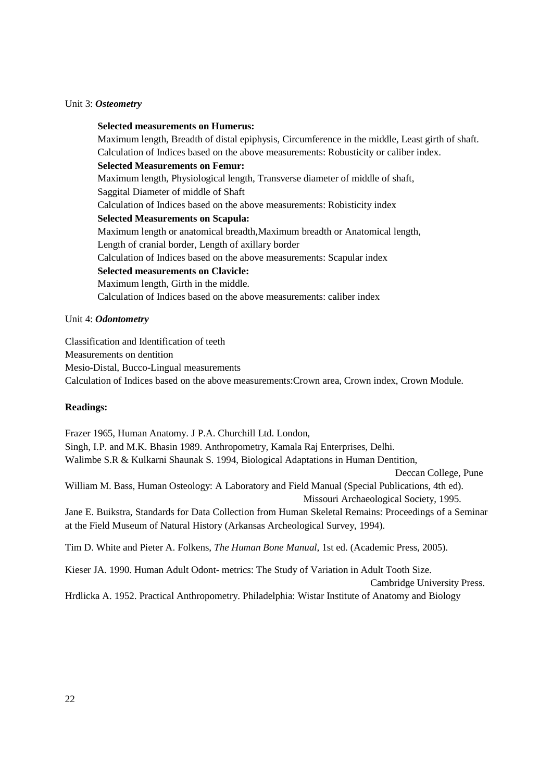### Unit 3: *Osteometry*

**Selected measurements on Humerus:**  Maximum length, Breadth of distal epiphysis, Circumference in the middle, Least girth of shaft. Calculation of Indices based on the above measurements: Robusticity or caliber index. **Selected Measurements on Femur:**  Maximum length, Physiological length, Transverse diameter of middle of shaft, Saggital Diameter of middle of Shaft Calculation of Indices based on the above measurements: Robisticity index **Selected Measurements on Scapula:**  Maximum length or anatomical breadth,Maximum breadth or Anatomical length, Length of cranial border, Length of axillary border Calculation of Indices based on the above measurements: Scapular index **Selected measurements on Clavicle:**  Maximum length, Girth in the middle. Calculation of Indices based on the above measurements: caliber index

# Unit 4: *Odontometry*

Classification and Identification of teeth Measurements on dentition Mesio-Distal, Bucco-Lingual measurements Calculation of Indices based on the above measurements:Crown area, Crown index, Crown Module.

#### **Readings:**

Frazer 1965, Human Anatomy. J P.A. Churchill Ltd. London, Singh, I.P. and M.K. Bhasin 1989. Anthropometry, Kamala Raj Enterprises, Delhi. Walimbe S.R & Kulkarni Shaunak S. 1994, Biological Adaptations in Human Dentition, Deccan College, Pune William M. Bass, Human Osteology: A Laboratory and Field Manual (Special Publications, 4th ed). Missouri Archaeological Society, 1995. Jane E. Buikstra, Standards for Data Collection from Human Skeletal Remains: Proceedings of a Seminar at the Field Museum of Natural History (Arkansas Archeological Survey, 1994). Tim D. White and Pieter A. Folkens, *The Human Bone Manual*, 1st ed. (Academic Press, 2005). Kieser JA. 1990. Human Adult Odont- metrics: The Study of Variation in Adult Tooth Size. Cambridge University Press. Hrdlicka A. 1952. Practical Anthropometry. Philadelphia: Wistar Institute of Anatomy and Biology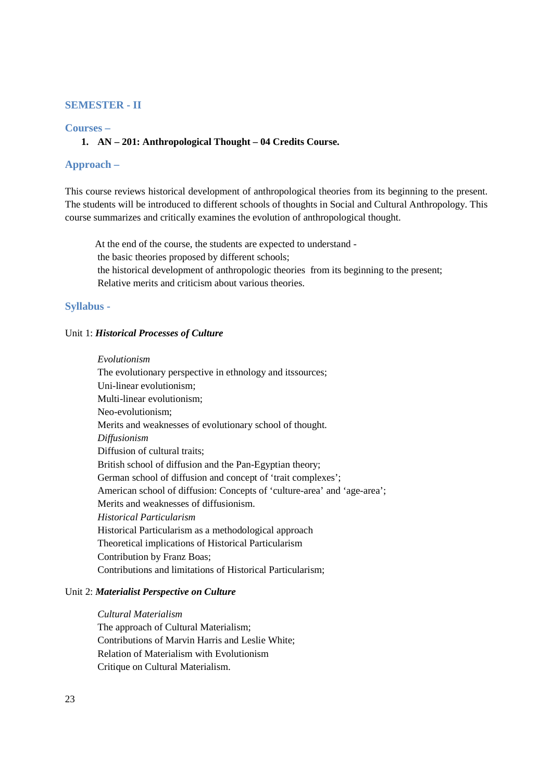# **SEMESTER - II**

# **Courses –**

# **1. AN – 201: Anthropological Thought – 04 Credits Course.**

# **Approach –**

This course reviews historical development of anthropological theories from its beginning to the present. The students will be introduced to different schools of thoughts in Social and Cultural Anthropology. This course summarizes and critically examines the evolution of anthropological thought.

 At the end of the course, the students are expected to understand the basic theories proposed by different schools; the historical development of anthropologic theories from its beginning to the present; Relative merits and criticism about various theories.

### **Syllabus -**

# Unit 1: *Historical Processes of Culture*

#### *Evolutionism*

The evolutionary perspective in ethnology and itssources; Uni-linear evolutionism; Multi-linear evolutionism; Neo-evolutionism; Merits and weaknesses of evolutionary school of thought. *Diffusionism* Diffusion of cultural traits; British school of diffusion and the Pan-Egyptian theory; German school of diffusion and concept of 'trait complexes'; American school of diffusion: Concepts of 'culture-area' and 'age-area'; Merits and weaknesses of diffusionism. *Historical Particularism*  Historical Particularism as a methodological approach Theoretical implications of Historical Particularism Contribution by Franz Boas; Contributions and limitations of Historical Particularism;

### Unit 2: *Materialist Perspective on Culture*

### *Cultural Materialism*

The approach of Cultural Materialism; Contributions of Marvin Harris and Leslie White; Relation of Materialism with Evolutionism Critique on Cultural Materialism.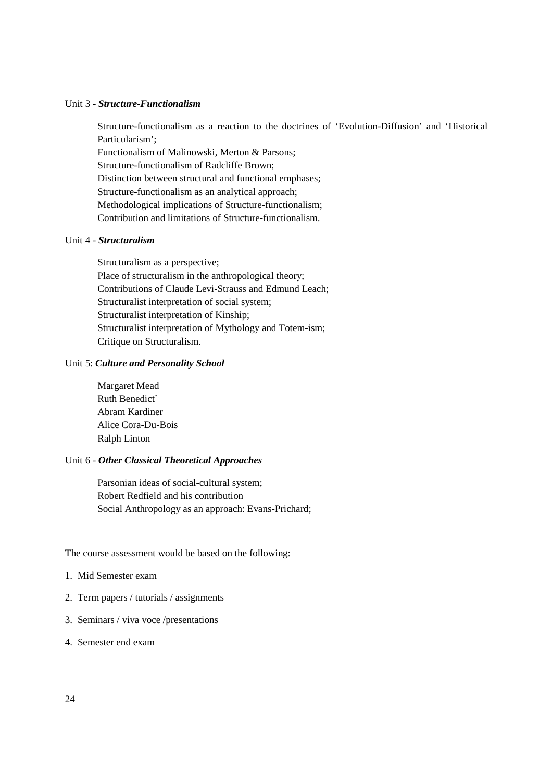#### Unit 3 - *Structure-Functionalism*

Structure-functionalism as a reaction to the doctrines of 'Evolution-Diffusion' and 'Historical Particularism'; Functionalism of Malinowski, Merton & Parsons; Structure-functionalism of Radcliffe Brown;

Distinction between structural and functional emphases; Structure-functionalism as an analytical approach; Methodological implications of Structure-functionalism; Contribution and limitations of Structure-functionalism.

### Unit 4 - *Structuralism*

Structuralism as a perspective; Place of structuralism in the anthropological theory; Contributions of Claude Levi-Strauss and Edmund Leach; Structuralist interpretation of social system; Structuralist interpretation of Kinship; Structuralist interpretation of Mythology and Totem-ism; Critique on Structuralism.

# Unit 5: *Culture and Personality School*

Margaret Mead Ruth Benedict` Abram Kardiner Alice Cora-Du-Bois Ralph Linton

#### Unit 6 - *Other Classical Theoretical Approaches*

Parsonian ideas of social-cultural system; Robert Redfield and his contribution Social Anthropology as an approach: Evans-Prichard;

The course assessment would be based on the following:

- 1. Mid Semester exam
- 2. Term papers / tutorials / assignments
- 3. Seminars / viva voce /presentations
- 4. Semester end exam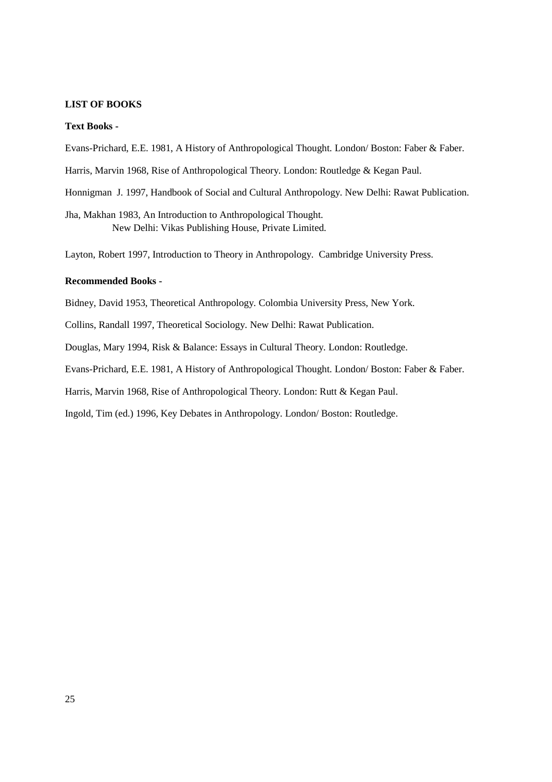#### **LIST OF BOOKS**

#### **Text Books -**

Evans-Prichard, E.E. 1981, A History of Anthropological Thought. London/ Boston: Faber & Faber.

Harris, Marvin 1968, Rise of Anthropological Theory. London: Routledge & Kegan Paul.

Honnigman J. 1997, Handbook of Social and Cultural Anthropology. New Delhi: Rawat Publication.

Jha, Makhan 1983, An Introduction to Anthropological Thought. New Delhi: Vikas Publishing House, Private Limited.

Layton, Robert 1997, Introduction to Theory in Anthropology. Cambridge University Press.

# **Recommended Books -**

Bidney, David 1953, Theoretical Anthropology. Colombia University Press, New York.

Collins, Randall 1997, Theoretical Sociology. New Delhi: Rawat Publication.

Douglas, Mary 1994, Risk & Balance: Essays in Cultural Theory. London: Routledge.

Evans-Prichard, E.E. 1981, A History of Anthropological Thought. London/ Boston: Faber & Faber.

Harris, Marvin 1968, Rise of Anthropological Theory. London: Rutt & Kegan Paul.

Ingold, Tim (ed.) 1996, Key Debates in Anthropology. London/ Boston: Routledge.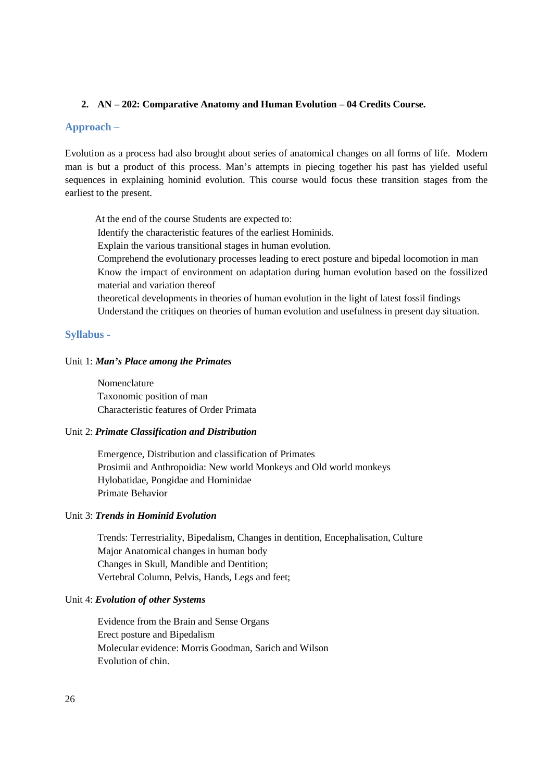# **2. AN – 202: Comparative Anatomy and Human Evolution – 04 Credits Course.**

# **Approach –**

Evolution as a process had also brought about series of anatomical changes on all forms of life. Modern man is but a product of this process. Man's attempts in piecing together his past has yielded useful sequences in explaining hominid evolution. This course would focus these transition stages from the earliest to the present.

 At the end of the course Students are expected to: Identify the characteristic features of the earliest Hominids. Explain the various transitional stages in human evolution. Comprehend the evolutionary processes leading to erect posture and bipedal locomotion in man Know the impact of environment on adaptation during human evolution based on the fossilized material and variation thereof theoretical developments in theories of human evolution in the light of latest fossil findings Understand the critiques on theories of human evolution and usefulness in present day situation.

# **Syllabus -**

# Unit 1: *Man's Place among the Primates*

Nomenclature Taxonomic position of man Characteristic features of Order Primata

### Unit 2: *Primate Classification and Distribution*

Emergence, Distribution and classification of Primates Prosimii and Anthropoidia: New world Monkeys and Old world monkeys Hylobatidae, Pongidae and Hominidae Primate Behavior

### Unit 3: *Trends in Hominid Evolution*

Trends: Terrestriality, Bipedalism, Changes in dentition, Encephalisation, Culture Major Anatomical changes in human body Changes in Skull, Mandible and Dentition; Vertebral Column, Pelvis, Hands, Legs and feet;

#### Unit 4: *Evolution of other Systems*

Evidence from the Brain and Sense Organs Erect posture and Bipedalism Molecular evidence: Morris Goodman, Sarich and Wilson Evolution of chin.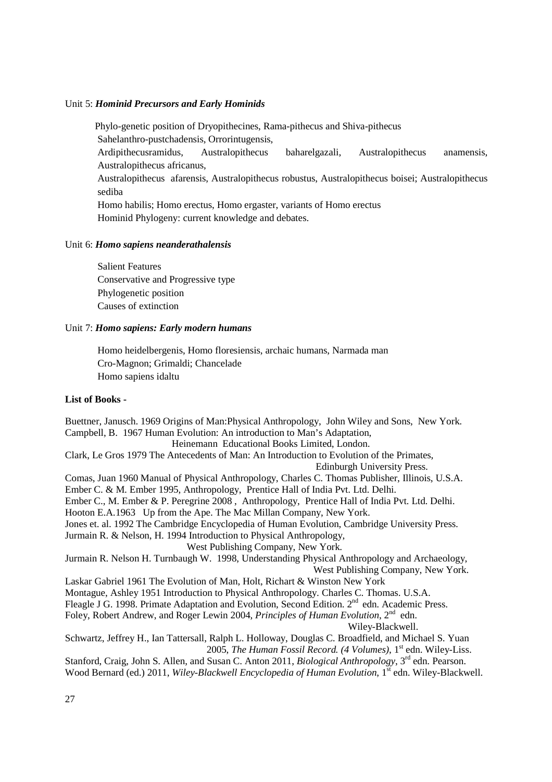#### Unit 5: *Hominid Precursors and Early Hominids*

Phylo-genetic position of Dryopithecines, Rama-pithecus and Shiva-pithecus Sahelanthro-pustchadensis, Orrorintugensis, Ardipithecusramidus, Australopithecus baharelgazali, Australopithecus anamensis, Australopithecus africanus, Australopithecus afarensis, Australopithecus robustus, Australopithecus boisei; Australopithecus sediba Homo habilis; Homo erectus, Homo ergaster, variants of Homo erectus

Hominid Phylogeny: current knowledge and debates.

#### Unit 6: *Homo sapiens neanderathalensis*

Salient Features Conservative and Progressive type Phylogenetic position Causes of extinction

#### Unit 7: *Homo sapiens: Early modern humans*

Homo heidelbergenis, Homo floresiensis, archaic humans, Narmada man Cro-Magnon; Grimaldi; Chancelade Homo sapiens idaltu

#### **List of Books -**

Buettner, Janusch. 1969 Origins of Man:Physical Anthropology, John Wiley and Sons, New York. Campbell, B. 1967 Human Evolution: An introduction to Man's Adaptation, Heinemann Educational Books Limited, London. Clark, Le Gros 1979 The Antecedents of Man: An Introduction to Evolution of the Primates, Edinburgh University Press. Comas, Juan 1960 Manual of Physical Anthropology, Charles C. Thomas Publisher, Illinois, U.S.A. Ember C. & M. Ember 1995, Anthropology, Prentice Hall of India Pvt. Ltd. Delhi. Ember C., M. Ember & P. Peregrine 2008 , Anthropology, Prentice Hall of India Pvt. Ltd. Delhi. Hooton E.A.1963 Up from the Ape. The Mac Millan Company, New York. Jones et. al. 1992 The Cambridge Encyclopedia of Human Evolution, Cambridge University Press. Jurmain R. & Nelson, H. 1994 Introduction to Physical Anthropology, West Publishing Company, New York. Jurmain R. Nelson H. Turnbaugh W. 1998, Understanding Physical Anthropology and Archaeology, West Publishing Company, New York. Laskar Gabriel 1961 The Evolution of Man, Holt, Richart & Winston New York Montague, Ashley 1951 Introduction to Physical Anthropology. Charles C. Thomas. U.S.A. Fleagle J G. 1998. Primate Adaptation and Evolution, Second Edition. 2<sup>nd</sup> edn. Academic Press. Foley, Robert Andrew, and Roger Lewin 2004, *Principles of Human Evolution*, 2<sup>nd</sup> edn. Wiley-Blackwell. Schwartz, Jeffrey H., Ian Tattersall, Ralph L. Holloway, Douglas C. Broadfield, and Michael S. Yuan 2005, *The Human Fossil Record. (4 Volumes)*, 1st edn. Wiley-Liss. Stanford, Craig, John S. Allen, and Susan C. Anton 2011, *Biological Anthropology*, 3<sup>rd</sup> edn. Pearson. Wood Bernard (ed.) 2011, *Wiley-Blackwell Encyclopedia of Human Evolution*, 1<sup>st</sup> edn. Wiley-Blackwell.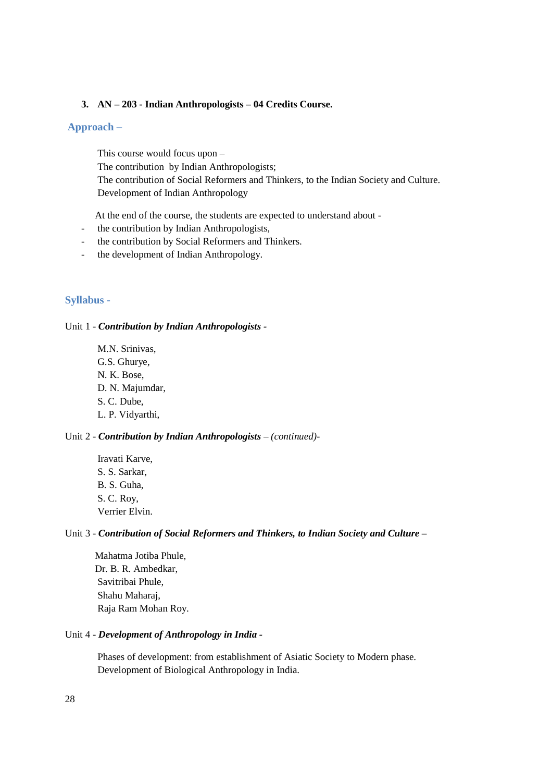### **3. AN – 203 - Indian Anthropologists – 04 Credits Course.**

# **Approach –**

This course would focus upon – The contribution by Indian Anthropologists; The contribution of Social Reformers and Thinkers, to the Indian Society and Culture. Development of Indian Anthropology

At the end of the course, the students are expected to understand about -

- the contribution by Indian Anthropologists,
- the contribution by Social Reformers and Thinkers.
- the development of Indian Anthropology.

# **Syllabus -**

### Unit 1 - *Contribution by Indian Anthropologists -*

M.N. Srinivas, G.S. Ghurye, N. K. Bose, D. N. Majumdar, S. C. Dube, L. P. Vidyarthi,

# Unit 2 - *Contribution by Indian Anthropologists – (continued)-*

Iravati Karve, S. S. Sarkar, B. S. Guha, S. C. Roy, Verrier Elvin.

### Unit 3 - *Contribution of Social Reformers and Thinkers, to Indian Society and Culture –*

 Mahatma Jotiba Phule, Dr. B. R. Ambedkar, Savitribai Phule, Shahu Maharaj, Raja Ram Mohan Roy.

# Unit 4 - *Development of Anthropology in India -*

Phases of development: from establishment of Asiatic Society to Modern phase. Development of Biological Anthropology in India.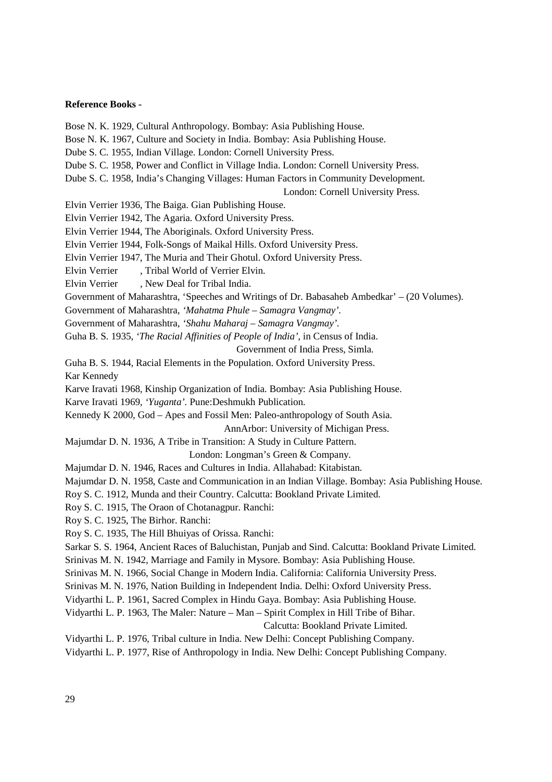#### **Reference Books -**

Bose N. K. 1929, Cultural Anthropology. Bombay: Asia Publishing House.

Bose N. K. 1967, Culture and Society in India. Bombay: Asia Publishing House.

Dube S. C. 1955, Indian Village. London: Cornell University Press.

Dube S. C. 1958, Power and Conflict in Village India. London: Cornell University Press.

Dube S. C. 1958, India's Changing Villages: Human Factors in Community Development.

London: Cornell University Press.

Elvin Verrier 1936, The Baiga. Gian Publishing House.

Elvin Verrier 1942, The Agaria. Oxford University Press.

Elvin Verrier 1944, The Aboriginals. Oxford University Press.

Elvin Verrier 1944, Folk-Songs of Maikal Hills. Oxford University Press.

Elvin Verrier 1947, The Muria and Their Ghotul. Oxford University Press.

Elvin Verrier , Tribal World of Verrier Elvin.

Elvin Verrier , New Deal for Tribal India.

Government of Maharashtra, 'Speeches and Writings of Dr. Babasaheb Ambedkar' – (20 Volumes).

Government of Maharashtra, *'Mahatma Phule – Samagra Vangmay'.*

Government of Maharashtra, *'Shahu Maharaj – Samagra Vangmay'.* 

Guha B. S. 1935, *'The Racial Affinities of People of India'*, in Census of India.

Government of India Press, Simla.

Guha B. S. 1944, Racial Elements in the Population. Oxford University Press.

Kar Kennedy

Karve Iravati 1968, Kinship Organization of India. Bombay: Asia Publishing House.

Karve Iravati 1969, *'Yuganta'.* Pune:Deshmukh Publication.

Kennedy K 2000, God – Apes and Fossil Men: Paleo-anthropology of South Asia.

AnnArbor: University of Michigan Press.

Majumdar D. N. 1936, A Tribe in Transition: A Study in Culture Pattern.

London: Longman's Green & Company.

Majumdar D. N. 1946, Races and Cultures in India. Allahabad: Kitabistan.

Majumdar D. N. 1958, Caste and Communication in an Indian Village. Bombay: Asia Publishing House.

Roy S. C. 1912, Munda and their Country. Calcutta: Bookland Private Limited.

Roy S. C. 1915, The Oraon of Chotanagpur. Ranchi:

Roy S. C. 1925, The Birhor. Ranchi:

Roy S. C. 1935, The Hill Bhuiyas of Orissa. Ranchi:

Sarkar S. S. 1964, Ancient Races of Baluchistan, Punjab and Sind. Calcutta: Bookland Private Limited.

Srinivas M. N. 1942, Marriage and Family in Mysore. Bombay: Asia Publishing House.

Srinivas M. N. 1966, Social Change in Modern India. California: California University Press.

Srinivas M. N. 1976, Nation Building in Independent India. Delhi: Oxford University Press.

Vidyarthi L. P. 1961, Sacred Complex in Hindu Gaya. Bombay: Asia Publishing House.

Vidyarthi L. P. 1963, The Maler: Nature – Man – Spirit Complex in Hill Tribe of Bihar.

Calcutta: Bookland Private Limited.

Vidyarthi L. P. 1976, Tribal culture in India. New Delhi: Concept Publishing Company.

Vidyarthi L. P. 1977, Rise of Anthropology in India. New Delhi: Concept Publishing Company.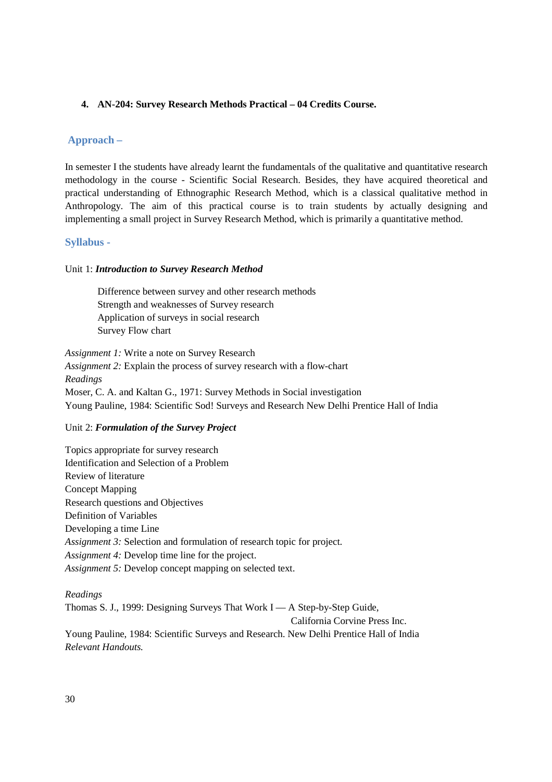# **4. AN-204: Survey Research Methods Practical – 04 Credits Course.**

# **Approach –**

In semester I the students have already learnt the fundamentals of the qualitative and quantitative research methodology in the course - Scientific Social Research. Besides, they have acquired theoretical and practical understanding of Ethnographic Research Method, which is a classical qualitative method in Anthropology. The aim of this practical course is to train students by actually designing and implementing a small project in Survey Research Method, which is primarily a quantitative method.

# **Syllabus -**

### Unit 1: *Introduction to Survey Research Method*

Difference between survey and other research methods Strength and weaknesses of Survey research Application of surveys in social research Survey Flow chart

*Assignment 1:* Write a note on Survey Research *Assignment 2:* Explain the process of survey research with a flow-chart *Readings*  Moser, C. A. and Kaltan G., 1971: Survey Methods in Social investigation Young Pauline, 1984: Scientific Sod! Surveys and Research New Delhi Prentice Hall of India

#### Unit 2: *Formulation of the Survey Project*

| Topics appropriate for survey research                                 |
|------------------------------------------------------------------------|
| Identification and Selection of a Problem                              |
| Review of literature                                                   |
| <b>Concept Mapping</b>                                                 |
| Research questions and Objectives                                      |
| Definition of Variables                                                |
| Developing a time Line                                                 |
| Assignment 3: Selection and formulation of research topic for project. |
| <i>Assignment 4:</i> Develop time line for the project.                |
| Assignment 5: Develop concept mapping on selected text.                |
|                                                                        |

*Readings*  Thomas S. J., 1999: Designing Surveys That Work I — A Step-by-Step Guide, California Corvine Press Inc. Young Pauline, 1984: Scientific Surveys and Research. New Delhi Prentice Hall of India *Relevant Handouts.*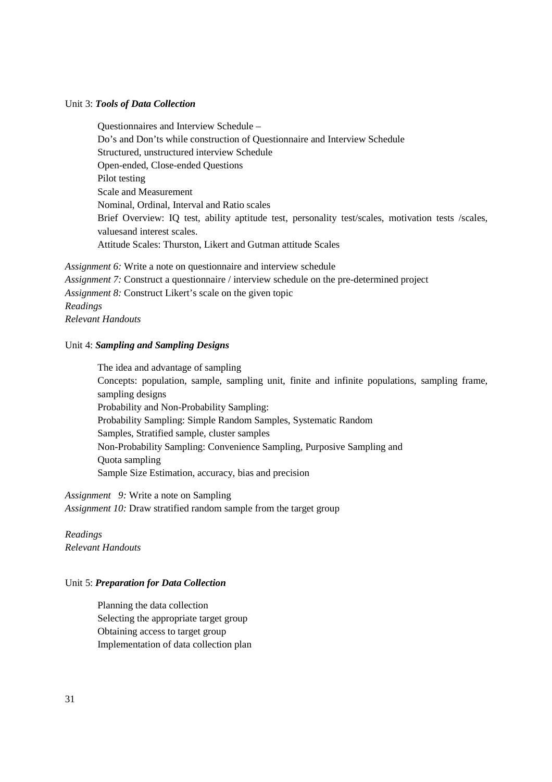### Unit 3: *Tools of Data Collection*

Questionnaires and Interview Schedule – Do's and Don'ts while construction of Questionnaire and Interview Schedule Structured, unstructured interview Schedule Open-ended, Close-ended Questions Pilot testing Scale and Measurement Nominal, Ordinal, Interval and Ratio scales Brief Overview: IQ test, ability aptitude test, personality test/scales, motivation tests /scales, valuesand interest scales. Attitude Scales: Thurston, Likert and Gutman attitude Scales

*Assignment 6:* Write a note on questionnaire and interview schedule *Assignment 7:* Construct a questionnaire / interview schedule on the pre-determined project *Assignment 8:* Construct Likert's scale on the given topic *Readings Relevant Handouts* 

#### Unit 4: *Sampling and Sampling Designs*

The idea and advantage of sampling Concepts: population, sample, sampling unit, finite and infinite populations, sampling frame, sampling designs Probability and Non-Probability Sampling: Probability Sampling: Simple Random Samples, Systematic Random Samples, Stratified sample, cluster samples Non-Probability Sampling: Convenience Sampling, Purposive Sampling and Quota sampling Sample Size Estimation, accuracy, bias and precision

*Assignment 9:* Write a note on Sampling *Assignment 10:* Draw stratified random sample from the target group

*Readings Relevant Handouts* 

#### Unit 5: *Preparation for Data Collection*

Planning the data collection Selecting the appropriate target group Obtaining access to target group Implementation of data collection plan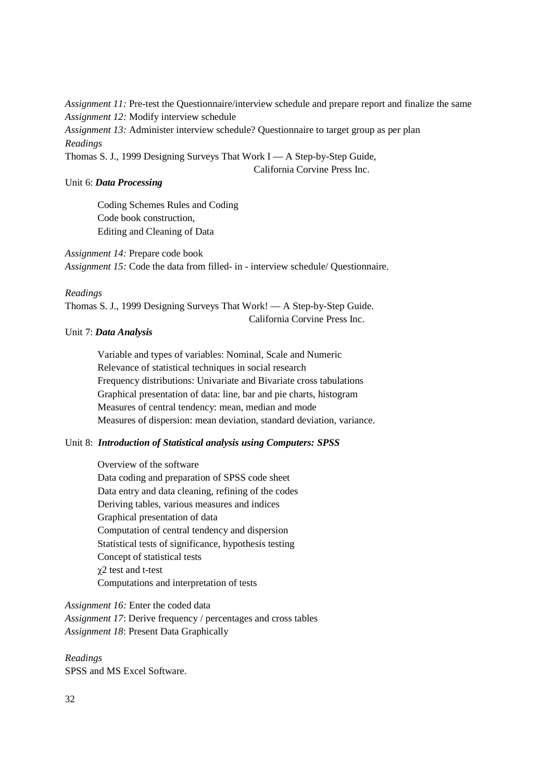*Assignment 11:* Pre-test the Questionnaire/interview schedule and prepare report and finalize the same *Assignment 12:* Modify interview schedule *Assignment 13:* Administer interview schedule? Questionnaire to target group as per plan *Readings*  Thomas S. J., 1999 Designing Surveys That Work I — A Step-by-Step Guide,

California Corvine Press Inc.

# Unit 6: *Data Processing*

Coding Schemes Rules and Coding Code book construction, Editing and Cleaning of Data

*Assignment 14:* Prepare code book *Assignment 15:* Code the data from filled- in - interview schedule/ Questionnaire.

#### *Readings*

Thomas S. J., 1999 Designing Surveys That Work! — A Step-by-Step Guide. California Corvine Press Inc.

# Unit 7: *Data Analysis*

Variable and types of variables: Nominal, Scale and Numeric Relevance of statistical techniques in social research Frequency distributions: Univariate and Bivariate cross tabulations Graphical presentation of data: line, bar and pie charts, histogram Measures of central tendency: mean, median and mode Measures of dispersion: mean deviation, standard deviation, variance.

# Unit 8: *Introduction of Statistical analysis using Computers: SPSS*

Overview of the software Data coding and preparation of SPSS code sheet Data entry and data cleaning, refining of the codes Deriving tables, various measures and indices Graphical presentation of data Computation of central tendency and dispersion Statistical tests of significance, hypothesis testing Concept of statistical tests χ2 test and t-test Computations and interpretation of tests

*Assignment 16:* Enter the coded data *Assignment 17*: Derive frequency / percentages and cross tables *Assignment 18*: Present Data Graphically

# *Readings*

SPSS and MS Excel Software.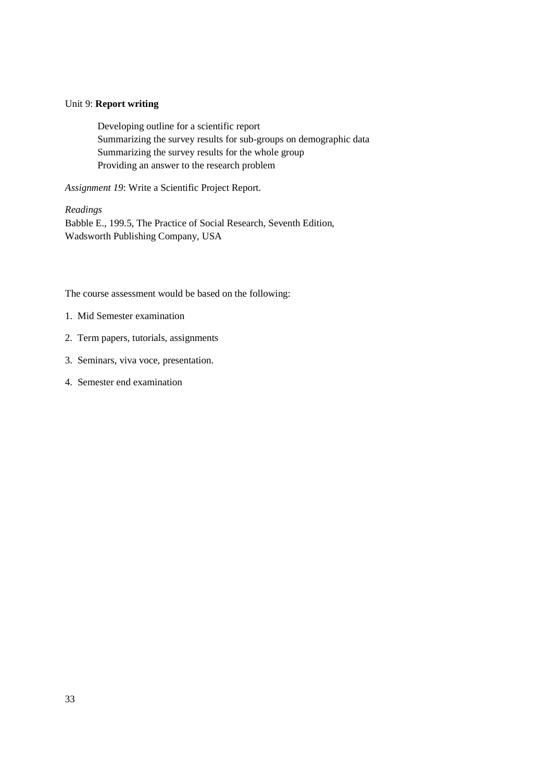### Unit 9: **Report writing**

Developing outline for a scientific report Summarizing the survey results for sub-groups on demographic data Summarizing the survey results for the whole group Providing an answer to the research problem

*Assignment 19*: Write a Scientific Project Report.

#### *Readings*

Babble E., 199.5, The Practice of Social Research, Seventh Edition, Wadsworth Publishing Company, USA

The course assessment would be based on the following:

- 1. Mid Semester examination
- 2. Term papers, tutorials, assignments
- 3. Seminars, viva voce, presentation.
- 4. Semester end examination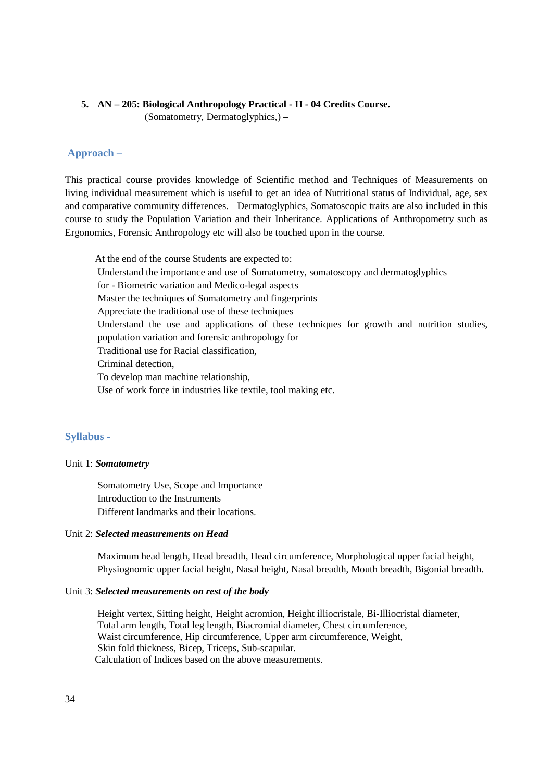# **5. AN – 205: Biological Anthropology Practical - II - 04 Credits Course.**

(Somatometry, Dermatoglyphics,) –

# **Approach –**

This practical course provides knowledge of Scientific method and Techniques of Measurements on living individual measurement which is useful to get an idea of Nutritional status of Individual, age, sex and comparative community differences. Dermatoglyphics, Somatoscopic traits are also included in this course to study the Population Variation and their Inheritance. Applications of Anthropometry such as Ergonomics, Forensic Anthropology etc will also be touched upon in the course.

 At the end of the course Students are expected to: Understand the importance and use of Somatometry, somatoscopy and dermatoglyphics for - Biometric variation and Medico-legal aspects Master the techniques of Somatometry and fingerprints Appreciate the traditional use of these techniques Understand the use and applications of these techniques for growth and nutrition studies, population variation and forensic anthropology for Traditional use for Racial classification, Criminal detection, To develop man machine relationship, Use of work force in industries like textile, tool making etc.

# **Syllabus -**

#### Unit 1: *Somatometry*

Somatometry Use, Scope and Importance Introduction to the Instruments Different landmarks and their locations.

#### Unit 2: *Selected measurements on Head*

Maximum head length, Head breadth, Head circumference, Morphological upper facial height, Physiognomic upper facial height, Nasal height, Nasal breadth, Mouth breadth, Bigonial breadth.

#### Unit 3: *Selected measurements on rest of the body*

Height vertex, Sitting height, Height acromion, Height illiocristale, Bi-Illiocristal diameter, Total arm length, Total leg length, Biacromial diameter, Chest circumference, Waist circumference, Hip circumference, Upper arm circumference, Weight, Skin fold thickness, Bicep, Triceps, Sub-scapular. Calculation of Indices based on the above measurements.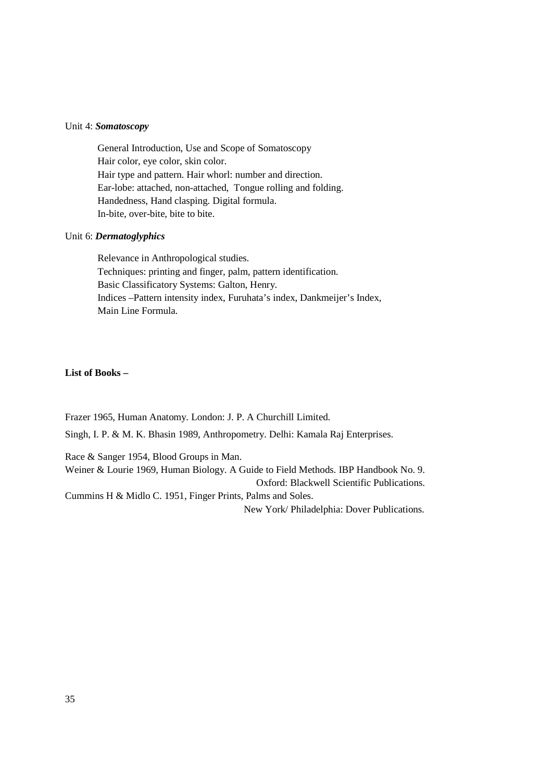#### Unit 4: *Somatoscopy*

General Introduction, Use and Scope of Somatoscopy Hair color, eye color, skin color. Hair type and pattern. Hair whorl: number and direction. Ear-lobe: attached, non-attached, Tongue rolling and folding. Handedness, Hand clasping. Digital formula. In-bite, over-bite, bite to bite.

#### Unit 6: *Dermatoglyphics*

Relevance in Anthropological studies. Techniques: printing and finger, palm, pattern identification. Basic Classificatory Systems: Galton, Henry. Indices –Pattern intensity index, Furuhata's index, Dankmeijer's Index, Main Line Formula.

# **List of Books –**

Frazer 1965, Human Anatomy. London: J. P. A Churchill Limited.

Singh, I. P. & M. K. Bhasin 1989, Anthropometry. Delhi: Kamala Raj Enterprises.

Race & Sanger 1954, Blood Groups in Man. Weiner & Lourie 1969, Human Biology. A Guide to Field Methods. IBP Handbook No. 9. Oxford: Blackwell Scientific Publications. Cummins H & Midlo C. 1951, Finger Prints, Palms and Soles.

New York/ Philadelphia: Dover Publications.